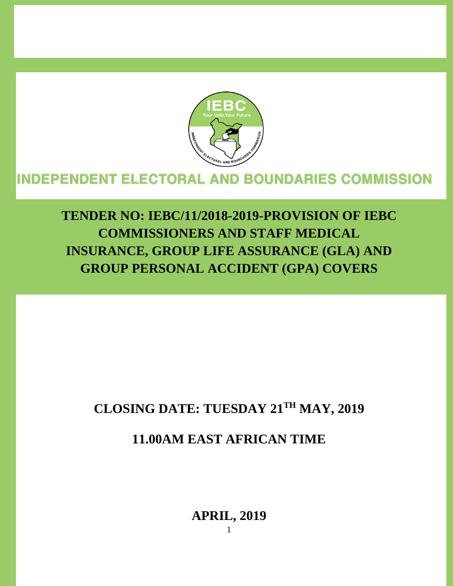

# **INDEPENDENT ELECTORAL AND BOUNDARIES COMMISSION**

**TENDER NO: IEBC/11/2018-2019-PROVISION OF IEBC COMMISSIONERS AND STAFF MEDICAL INSURANCE, GROUP LIFE ASSURANCE (GLA) AND GROUP PERSONAL ACCIDENT (GPA) COVERS** 

# **CLOSING DATE: TUESDAY 21TH MAY, 2019**

# **11.00AM EAST AFRICAN TIME**

**APRIL, 2019**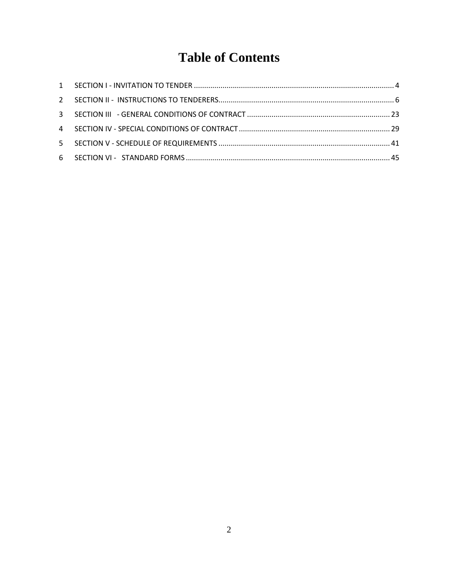# **Table of Contents**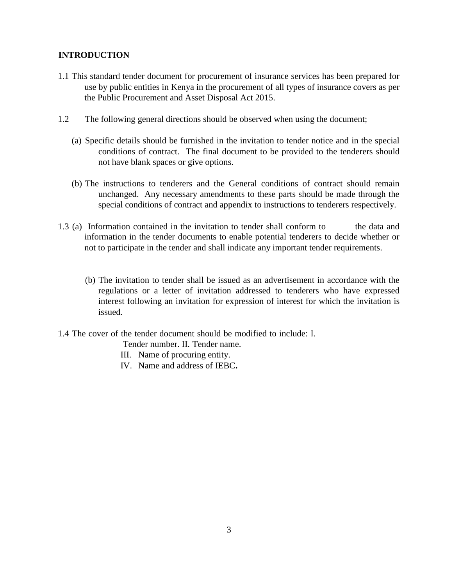#### **INTRODUCTION**

- 1.1 This standard tender document for procurement of insurance services has been prepared for use by public entities in Kenya in the procurement of all types of insurance covers as per the Public Procurement and Asset Disposal Act 2015.
- 1.2 The following general directions should be observed when using the document;
	- (a) Specific details should be furnished in the invitation to tender notice and in the special conditions of contract. The final document to be provided to the tenderers should not have blank spaces or give options.
	- (b) The instructions to tenderers and the General conditions of contract should remain unchanged. Any necessary amendments to these parts should be made through the special conditions of contract and appendix to instructions to tenderers respectively.
- 1.3 (a) Information contained in the invitation to tender shall conform to the data and information in the tender documents to enable potential tenderers to decide whether or not to participate in the tender and shall indicate any important tender requirements.
	- (b) The invitation to tender shall be issued as an advertisement in accordance with the regulations or a letter of invitation addressed to tenderers who have expressed interest following an invitation for expression of interest for which the invitation is issued.
- 1.4 The cover of the tender document should be modified to include: I.

Tender number. II. Tender name.

- III. Name of procuring entity.
- IV. Name and address of IEBC**.**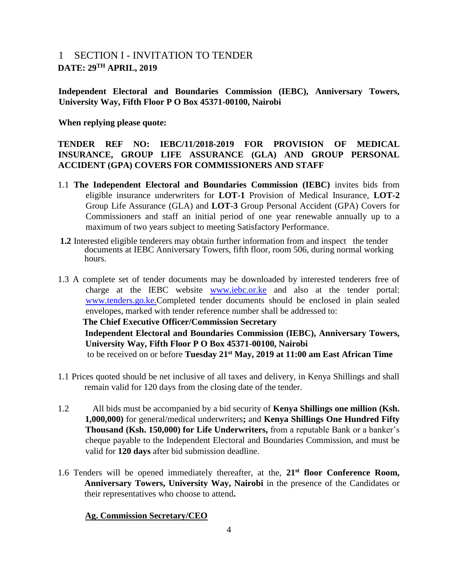# <span id="page-3-0"></span>1 SECTION I - INVITATION TO TENDER **DATE: 29TH APRIL, 2019**

**Independent Electoral and Boundaries Commission (IEBC), Anniversary Towers, University Way, Fifth Floor P O Box 45371-00100, Nairobi** 

**When replying please quote:** 

### **TENDER REF NO: IEBC/11/2018-2019 FOR PROVISION OF MEDICAL INSURANCE, GROUP LIFE ASSURANCE (GLA) AND GROUP PERSONAL ACCIDENT (GPA) COVERS FOR COMMISSIONERS AND STAFF**

- 1.1 **The Independent Electoral and Boundaries Commission (IEBC)** invites bids from eligible insurance underwriters for **LOT-1** Provision of Medical Insurance, **LOT-2**  Group Life Assurance (GLA) and **LOT-3** Group Personal Accident (GPA) Covers for Commissioners and staff an initial period of one year renewable annually up to a maximum of two years subject to meeting Satisfactory Performance.
- **1.2** Interested eligible tenderers may obtain further information from and inspect the tender documents at IEBC Anniversary Towers, fifth floor, room 506, during normal working hours.
- 1.3 A complete set of tender documents may be downloaded by interested tenderers free of charge at the IEBC website [www.iebc.or.ke](http://www.iebc.or.ke/) and also at the tender portal: www.tenders.go.ke.Completed tender documents should be enclosed in plain sealed envelopes, marked with tender reference number shall be addressed to: **The Chief Executive Officer/Commission Secretary Independent Electoral and Boundaries Commission (IEBC), Anniversary Towers, University Way, Fifth Floor P O Box 45371-00100, Nairobi**

to be received on or before **Tuesday 21st May, 2019 at 11:00 am East African Time**

- 1.1 Prices quoted should be net inclusive of all taxes and delivery, in Kenya Shillings and shall remain valid for 120 days from the closing date of the tender.
- 1.2 All bids must be accompanied by a bid security of **Kenya Shillings one million (Ksh. 1,000,000)** for general/medical underwriters**;** and **Kenya Shillings One Hundred Fifty Thousand (Ksh. 150,000) for Life Underwriters,** from a reputable Bank or a banker's cheque payable to the Independent Electoral and Boundaries Commission, and must be valid for **120 days** after bid submission deadline.
- 1.6 Tenders will be opened immediately thereafter, at the, **21st floor Conference Room, Anniversary Towers, University Way, Nairobi** in the presence of the Candidates or their representatives who choose to attend**.**

#### **Ag. Commission Secretary/CEO**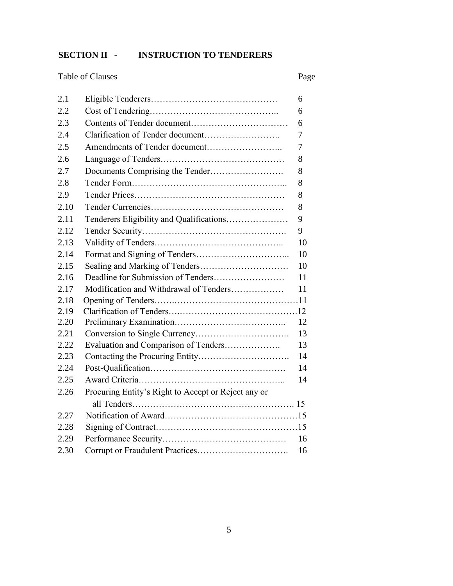# **SECTION II - INSTRUCTION TO TENDERERS**

# Table of Clauses Page

| 2.1  |                                                     | 6  |
|------|-----------------------------------------------------|----|
| 2.2  |                                                     | 6  |
| 2.3  |                                                     | 6  |
| 2.4  |                                                     | 7  |
| 2.5  |                                                     | 7  |
| 2.6  |                                                     | 8  |
| 2.7  |                                                     | 8  |
| 2.8  |                                                     | 8  |
| 2.9  |                                                     | 8  |
| 2.10 |                                                     | 8  |
| 2.11 | Tenderers Eligibility and Qualifications            | 9  |
| 2.12 |                                                     | 9  |
| 2.13 |                                                     | 10 |
| 2.14 |                                                     | 10 |
| 2.15 |                                                     | 10 |
| 2.16 | Deadline for Submission of Tenders                  | 11 |
| 2.17 | Modification and Withdrawal of Tenders              | 11 |
| 2.18 |                                                     |    |
| 2.19 |                                                     |    |
| 2.20 |                                                     | 12 |
| 2.21 |                                                     | 13 |
| 2.22 | Evaluation and Comparison of Tenders                | 13 |
| 2.23 |                                                     | 14 |
| 2.24 |                                                     | 14 |
| 2.25 |                                                     | 14 |
| 2.26 | Procuring Entity's Right to Accept or Reject any or |    |
|      |                                                     |    |
| 2.27 |                                                     |    |
| 2.28 |                                                     |    |
| 2.29 |                                                     | 16 |
| 2.30 |                                                     | 16 |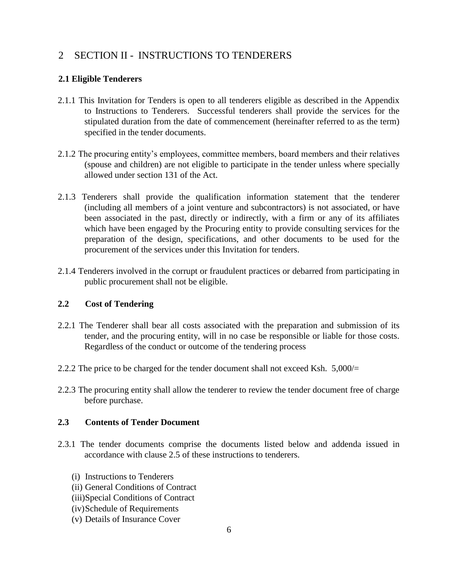# <span id="page-5-0"></span>2 SECTION II - INSTRUCTIONS TO TENDERERS

# **2.1 Eligible Tenderers**

- 2.1.1 This Invitation for Tenders is open to all tenderers eligible as described in the Appendix to Instructions to Tenderers. Successful tenderers shall provide the services for the stipulated duration from the date of commencement (hereinafter referred to as the term) specified in the tender documents.
- 2.1.2 The procuring entity's employees, committee members, board members and their relatives (spouse and children) are not eligible to participate in the tender unless where specially allowed under section 131 of the Act.
- 2.1.3 Tenderers shall provide the qualification information statement that the tenderer (including all members of a joint venture and subcontractors) is not associated, or have been associated in the past, directly or indirectly, with a firm or any of its affiliates which have been engaged by the Procuring entity to provide consulting services for the preparation of the design, specifications, and other documents to be used for the procurement of the services under this Invitation for tenders.
- 2.1.4 Tenderers involved in the corrupt or fraudulent practices or debarred from participating in public procurement shall not be eligible.

# **2.2 Cost of Tendering**

- 2.2.1 The Tenderer shall bear all costs associated with the preparation and submission of its tender, and the procuring entity, will in no case be responsible or liable for those costs. Regardless of the conduct or outcome of the tendering process
- 2.2.2 The price to be charged for the tender document shall not exceed Ksh. 5,000/=
- 2.2.3 The procuring entity shall allow the tenderer to review the tender document free of charge before purchase.

# **2.3 Contents of Tender Document**

- 2.3.1 The tender documents comprise the documents listed below and addenda issued in accordance with clause 2.5 of these instructions to tenderers.
	- (i) Instructions to Tenderers
	- (ii) General Conditions of Contract
	- (iii)Special Conditions of Contract
	- (iv)Schedule of Requirements
	- (v) Details of Insurance Cover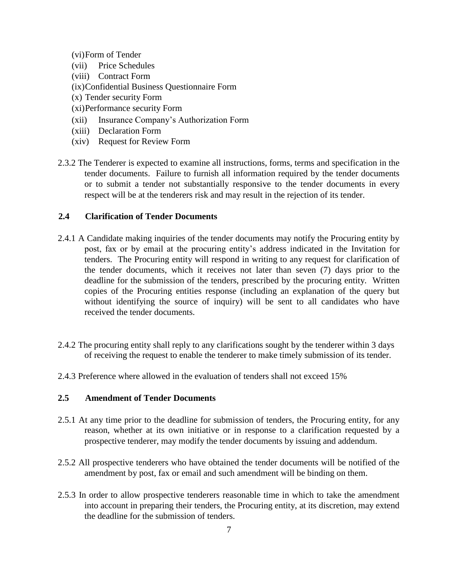(vi)Form of Tender

- (vii) Price Schedules
- (viii) Contract Form

(ix)Confidential Business Questionnaire Form

- (x) Tender security Form
- (xi)Performance security Form
- (xii) Insurance Company's Authorization Form
- (xiii) Declaration Form
- (xiv) Request for Review Form
- 2.3.2 The Tenderer is expected to examine all instructions, forms, terms and specification in the tender documents. Failure to furnish all information required by the tender documents or to submit a tender not substantially responsive to the tender documents in every respect will be at the tenderers risk and may result in the rejection of its tender.

#### **2.4 Clarification of Tender Documents**

- 2.4.1 A Candidate making inquiries of the tender documents may notify the Procuring entity by post, fax or by email at the procuring entity's address indicated in the Invitation for tenders. The Procuring entity will respond in writing to any request for clarification of the tender documents, which it receives not later than seven (7) days prior to the deadline for the submission of the tenders, prescribed by the procuring entity. Written copies of the Procuring entities response (including an explanation of the query but without identifying the source of inquiry) will be sent to all candidates who have received the tender documents.
- 2.4.2 The procuring entity shall reply to any clarifications sought by the tenderer within 3 days of receiving the request to enable the tenderer to make timely submission of its tender.
- 2.4.3 Preference where allowed in the evaluation of tenders shall not exceed 15%

#### **2.5 Amendment of Tender Documents**

- 2.5.1 At any time prior to the deadline for submission of tenders, the Procuring entity, for any reason, whether at its own initiative or in response to a clarification requested by a prospective tenderer, may modify the tender documents by issuing and addendum.
- 2.5.2 All prospective tenderers who have obtained the tender documents will be notified of the amendment by post, fax or email and such amendment will be binding on them.
- 2.5.3 In order to allow prospective tenderers reasonable time in which to take the amendment into account in preparing their tenders, the Procuring entity, at its discretion, may extend the deadline for the submission of tenders.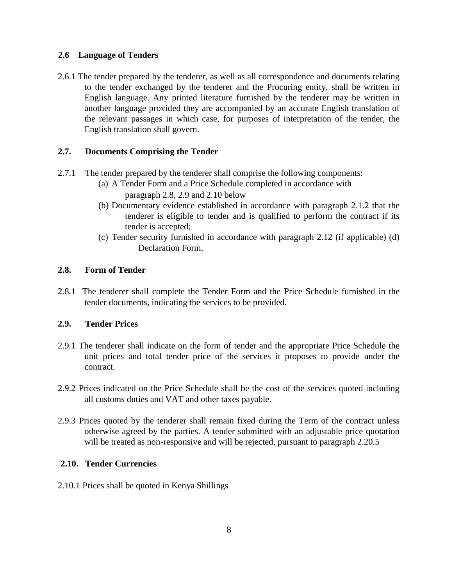#### **2.6 Language of Tenders**

2.6.1 The tender prepared by the tenderer, as well as all correspondence and documents relating to the tender exchanged by the tenderer and the Procuring entity, shall be written in English language. Any printed literature furnished by the tenderer may be written in another language provided they are accompanied by an accurate English translation of the relevant passages in which case, for purposes of interpretation of the tender, the English translation shall govern.

#### **2.7. Documents Comprising the Tender**

- 2.7.1 The tender prepared by the tenderer shall comprise the following components:
	- (a) A Tender Form and a Price Schedule completed in accordance with paragraph 2.8, 2.9 and 2.10 below
	- (b) Documentary evidence established in accordance with paragraph 2.1.2 that the tenderer is eligible to tender and is qualified to perform the contract if its tender is accepted;
	- (c) Tender security furnished in accordance with paragraph 2.12 (if applicable) (d) Declaration Form.

#### **2.8. Form of Tender**

2.8.1 The tenderer shall complete the Tender Form and the Price Schedule furnished in the tender documents, indicating the services to be provided.

#### **2.9. Tender Prices**

- 2.9.1 The tenderer shall indicate on the form of tender and the appropriate Price Schedule the unit prices and total tender price of the services it proposes to provide under the contract.
- 2.9.2 Prices indicated on the Price Schedule shall be the cost of the services quoted including all customs duties and VAT and other taxes payable.
- 2.9.3 Prices quoted by the tenderer shall remain fixed during the Term of the contract unless otherwise agreed by the parties. A tender submitted with an adjustable price quotation will be treated as non-responsive and will be rejected, pursuant to paragraph 2.20.5

# **2.10. Tender Currencies**

2.10.1 Prices shall be quoted in Kenya Shillings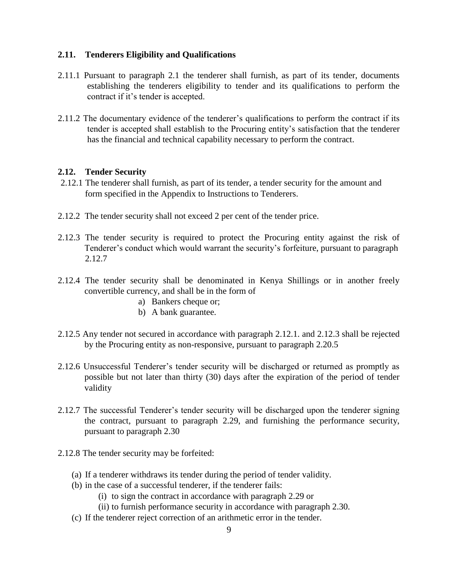#### **2.11. Tenderers Eligibility and Qualifications**

- 2.11.1 Pursuant to paragraph 2.1 the tenderer shall furnish, as part of its tender, documents establishing the tenderers eligibility to tender and its qualifications to perform the contract if it's tender is accepted.
- 2.11.2 The documentary evidence of the tenderer's qualifications to perform the contract if its tender is accepted shall establish to the Procuring entity's satisfaction that the tenderer has the financial and technical capability necessary to perform the contract.

#### **2.12. Tender Security**

- 2.12.1 The tenderer shall furnish, as part of its tender, a tender security for the amount and form specified in the Appendix to Instructions to Tenderers.
- 2.12.2 The tender security shall not exceed 2 per cent of the tender price.
- 2.12.3 The tender security is required to protect the Procuring entity against the risk of Tenderer's conduct which would warrant the security's forfeiture, pursuant to paragraph 2.12.7
- 2.12.4 The tender security shall be denominated in Kenya Shillings or in another freely convertible currency, and shall be in the form of
	- a) Bankers cheque or;
	- b) A bank guarantee.
- 2.12.5 Any tender not secured in accordance with paragraph 2.12.1. and 2.12.3 shall be rejected by the Procuring entity as non-responsive, pursuant to paragraph 2.20.5
- 2.12.6 Unsuccessful Tenderer's tender security will be discharged or returned as promptly as possible but not later than thirty (30) days after the expiration of the period of tender validity
- 2.12.7 The successful Tenderer's tender security will be discharged upon the tenderer signing the contract, pursuant to paragraph 2.29, and furnishing the performance security, pursuant to paragraph 2.30
- 2.12.8 The tender security may be forfeited:
	- (a) If a tenderer withdraws its tender during the period of tender validity.
	- (b) in the case of a successful tenderer, if the tenderer fails:
		- (i) to sign the contract in accordance with paragraph 2.29 or
		- (ii) to furnish performance security in accordance with paragraph 2.30.
	- (c) If the tenderer reject correction of an arithmetic error in the tender.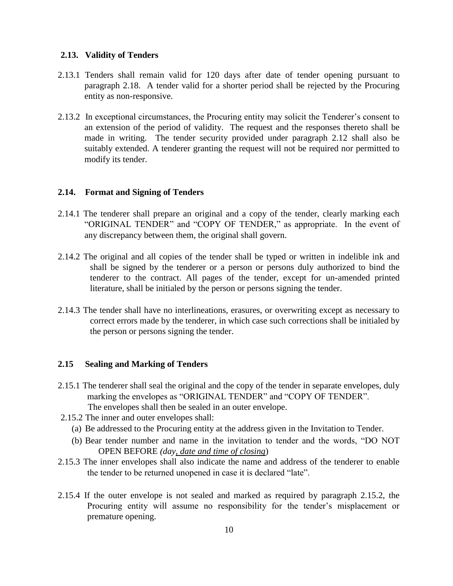#### **2.13. Validity of Tenders**

- 2.13.1 Tenders shall remain valid for 120 days after date of tender opening pursuant to paragraph 2.18. A tender valid for a shorter period shall be rejected by the Procuring entity as non-responsive.
- 2.13.2 In exceptional circumstances, the Procuring entity may solicit the Tenderer's consent to an extension of the period of validity. The request and the responses thereto shall be made in writing. The tender security provided under paragraph 2.12 shall also be suitably extended. A tenderer granting the request will not be required nor permitted to modify its tender.

#### **2.14. Format and Signing of Tenders**

- 2.14.1 The tenderer shall prepare an original and a copy of the tender, clearly marking each "ORIGINAL TENDER" and "COPY OF TENDER," as appropriate. In the event of any discrepancy between them, the original shall govern.
- 2.14.2 The original and all copies of the tender shall be typed or written in indelible ink and shall be signed by the tenderer or a person or persons duly authorized to bind the tenderer to the contract. All pages of the tender, except for un-amended printed literature, shall be initialed by the person or persons signing the tender.
- 2.14.3 The tender shall have no interlineations, erasures, or overwriting except as necessary to correct errors made by the tenderer, in which case such corrections shall be initialed by the person or persons signing the tender.

#### **2.15 Sealing and Marking of Tenders**

- 2.15.1 The tenderer shall seal the original and the copy of the tender in separate envelopes, duly marking the envelopes as "ORIGINAL TENDER" and "COPY OF TENDER". The envelopes shall then be sealed in an outer envelope.
- 2.15.2 The inner and outer envelopes shall:
	- (a) Be addressed to the Procuring entity at the address given in the Invitation to Tender.
	- (b) Bear tender number and name in the invitation to tender and the words, "DO NOT OPEN BEFORE *(day, date and time of closing*)
- 2.15.3 The inner envelopes shall also indicate the name and address of the tenderer to enable the tender to be returned unopened in case it is declared "late".
- 2.15.4 If the outer envelope is not sealed and marked as required by paragraph 2.15.2, the Procuring entity will assume no responsibility for the tender's misplacement or premature opening.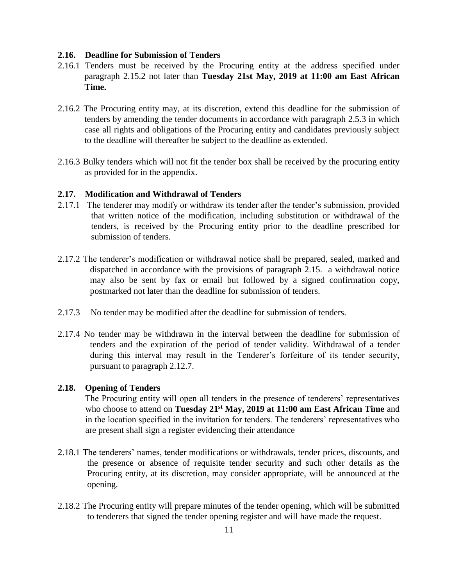#### **2.16. Deadline for Submission of Tenders**

- 2.16.1 Tenders must be received by the Procuring entity at the address specified under paragraph 2.15.2 not later than **Tuesday 21st May, 2019 at 11:00 am East African Time.**
- 2.16.2 The Procuring entity may, at its discretion, extend this deadline for the submission of tenders by amending the tender documents in accordance with paragraph 2.5.3 in which case all rights and obligations of the Procuring entity and candidates previously subject to the deadline will thereafter be subject to the deadline as extended.
- 2.16.3 Bulky tenders which will not fit the tender box shall be received by the procuring entity as provided for in the appendix.

#### **2.17. Modification and Withdrawal of Tenders**

- 2.17.1 The tenderer may modify or withdraw its tender after the tender's submission, provided that written notice of the modification, including substitution or withdrawal of the tenders, is received by the Procuring entity prior to the deadline prescribed for submission of tenders.
- 2.17.2 The tenderer's modification or withdrawal notice shall be prepared, sealed, marked and dispatched in accordance with the provisions of paragraph 2.15. a withdrawal notice may also be sent by fax or email but followed by a signed confirmation copy, postmarked not later than the deadline for submission of tenders.
- 2.17.3 No tender may be modified after the deadline for submission of tenders.
- 2.17.4 No tender may be withdrawn in the interval between the deadline for submission of tenders and the expiration of the period of tender validity. Withdrawal of a tender during this interval may result in the Tenderer's forfeiture of its tender security, pursuant to paragraph 2.12.7.

#### **2.18. Opening of Tenders**

The Procuring entity will open all tenders in the presence of tenderers' representatives who choose to attend on **Tuesday 21st May, 2019 at 11:00 am East African Time** and in the location specified in the invitation for tenders. The tenderers' representatives who are present shall sign a register evidencing their attendance

- 2.18.1 The tenderers' names, tender modifications or withdrawals, tender prices, discounts, and the presence or absence of requisite tender security and such other details as the Procuring entity, at its discretion, may consider appropriate, will be announced at the opening.
- 2.18.2 The Procuring entity will prepare minutes of the tender opening, which will be submitted to tenderers that signed the tender opening register and will have made the request.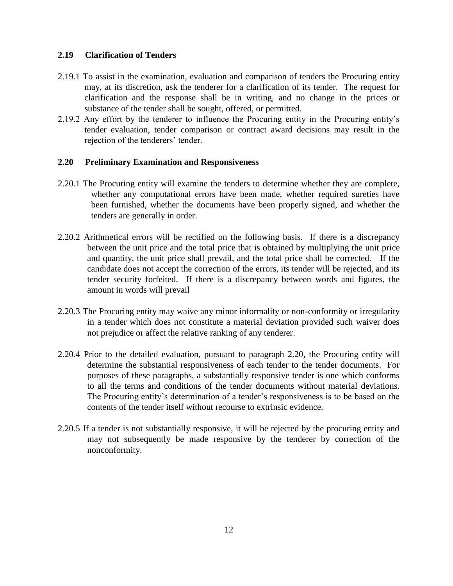#### **2.19 Clarification of Tenders**

- 2.19.1 To assist in the examination, evaluation and comparison of tenders the Procuring entity may, at its discretion, ask the tenderer for a clarification of its tender. The request for clarification and the response shall be in writing, and no change in the prices or substance of the tender shall be sought, offered, or permitted.
- 2.19.2 Any effort by the tenderer to influence the Procuring entity in the Procuring entity's tender evaluation, tender comparison or contract award decisions may result in the rejection of the tenderers' tender.

#### **2.20 Preliminary Examination and Responsiveness**

- 2.20.1 The Procuring entity will examine the tenders to determine whether they are complete, whether any computational errors have been made, whether required sureties have been furnished, whether the documents have been properly signed, and whether the tenders are generally in order.
- 2.20.2 Arithmetical errors will be rectified on the following basis. If there is a discrepancy between the unit price and the total price that is obtained by multiplying the unit price and quantity, the unit price shall prevail, and the total price shall be corrected. If the candidate does not accept the correction of the errors, its tender will be rejected, and its tender security forfeited. If there is a discrepancy between words and figures, the amount in words will prevail
- 2.20.3 The Procuring entity may waive any minor informality or non-conformity or irregularity in a tender which does not constitute a material deviation provided such waiver does not prejudice or affect the relative ranking of any tenderer.
- 2.20.4 Prior to the detailed evaluation, pursuant to paragraph 2.20, the Procuring entity will determine the substantial responsiveness of each tender to the tender documents. For purposes of these paragraphs, a substantially responsive tender is one which conforms to all the terms and conditions of the tender documents without material deviations. The Procuring entity's determination of a tender's responsiveness is to be based on the contents of the tender itself without recourse to extrinsic evidence.
- 2.20.5 If a tender is not substantially responsive, it will be rejected by the procuring entity and may not subsequently be made responsive by the tenderer by correction of the nonconformity.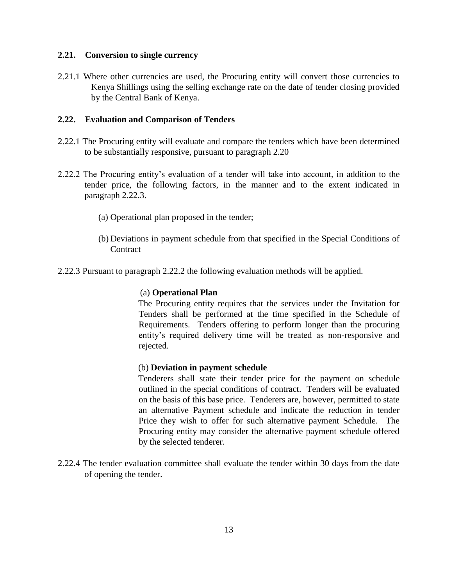#### **2.21. Conversion to single currency**

2.21.1 Where other currencies are used, the Procuring entity will convert those currencies to Kenya Shillings using the selling exchange rate on the date of tender closing provided by the Central Bank of Kenya.

#### **2.22. Evaluation and Comparison of Tenders**

- 2.22.1 The Procuring entity will evaluate and compare the tenders which have been determined to be substantially responsive, pursuant to paragraph 2.20
- 2.22.2 The Procuring entity's evaluation of a tender will take into account, in addition to the tender price, the following factors, in the manner and to the extent indicated in paragraph 2.22.3.
	- (a) Operational plan proposed in the tender;
	- (b) Deviations in payment schedule from that specified in the Special Conditions of **Contract**
- 2.22.3 Pursuant to paragraph 2.22.2 the following evaluation methods will be applied.

#### (a) **Operational Plan**

The Procuring entity requires that the services under the Invitation for Tenders shall be performed at the time specified in the Schedule of Requirements. Tenders offering to perform longer than the procuring entity's required delivery time will be treated as non-responsive and rejected.

#### (b) **Deviation in payment schedule**

Tenderers shall state their tender price for the payment on schedule outlined in the special conditions of contract. Tenders will be evaluated on the basis of this base price. Tenderers are, however, permitted to state an alternative Payment schedule and indicate the reduction in tender Price they wish to offer for such alternative payment Schedule. The Procuring entity may consider the alternative payment schedule offered by the selected tenderer.

2.22.4 The tender evaluation committee shall evaluate the tender within 30 days from the date of opening the tender.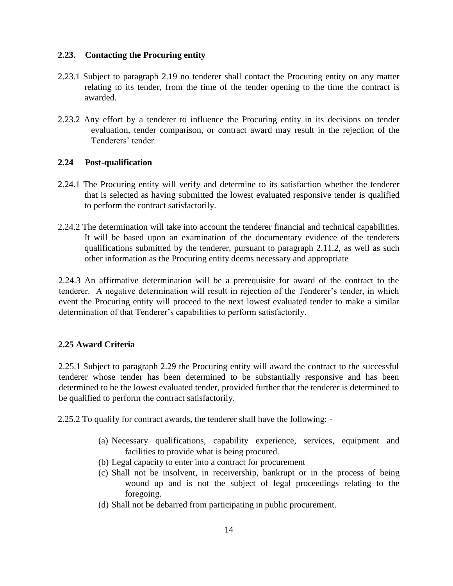#### **2.23. Contacting the Procuring entity**

- 2.23.1 Subject to paragraph 2.19 no tenderer shall contact the Procuring entity on any matter relating to its tender, from the time of the tender opening to the time the contract is awarded.
- 2.23.2 Any effort by a tenderer to influence the Procuring entity in its decisions on tender evaluation, tender comparison, or contract award may result in the rejection of the Tenderers' tender.

#### **2.24 Post-qualification**

- 2.24.1 The Procuring entity will verify and determine to its satisfaction whether the tenderer that is selected as having submitted the lowest evaluated responsive tender is qualified to perform the contract satisfactorily.
- 2.24.2 The determination will take into account the tenderer financial and technical capabilities. It will be based upon an examination of the documentary evidence of the tenderers qualifications submitted by the tenderer, pursuant to paragraph 2.11.2, as well as such other information as the Procuring entity deems necessary and appropriate

2.24.3 An affirmative determination will be a prerequisite for award of the contract to the tenderer. A negative determination will result in rejection of the Tenderer's tender, in which event the Procuring entity will proceed to the next lowest evaluated tender to make a similar determination of that Tenderer's capabilities to perform satisfactorily.

#### **2.25 Award Criteria**

2.25.1 Subject to paragraph 2.29 the Procuring entity will award the contract to the successful tenderer whose tender has been determined to be substantially responsive and has been determined to be the lowest evaluated tender, provided further that the tenderer is determined to be qualified to perform the contract satisfactorily.

2.25.2 To qualify for contract awards, the tenderer shall have the following: -

- (a) Necessary qualifications, capability experience, services, equipment and facilities to provide what is being procured.
- (b) Legal capacity to enter into a contract for procurement
- (c) Shall not be insolvent, in receivership, bankrupt or in the process of being wound up and is not the subject of legal proceedings relating to the foregoing.
- (d) Shall not be debarred from participating in public procurement.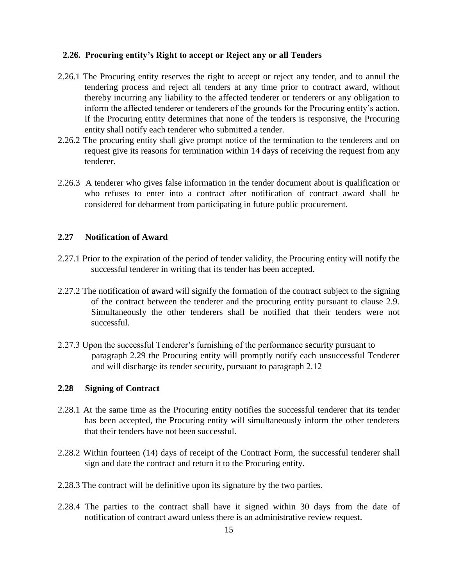#### **2.26. Procuring entity's Right to accept or Reject any or all Tenders**

- 2.26.1 The Procuring entity reserves the right to accept or reject any tender, and to annul the tendering process and reject all tenders at any time prior to contract award, without thereby incurring any liability to the affected tenderer or tenderers or any obligation to inform the affected tenderer or tenderers of the grounds for the Procuring entity's action. If the Procuring entity determines that none of the tenders is responsive, the Procuring entity shall notify each tenderer who submitted a tender.
- 2.26.2 The procuring entity shall give prompt notice of the termination to the tenderers and on request give its reasons for termination within 14 days of receiving the request from any tenderer.
- 2.26.3 A tenderer who gives false information in the tender document about is qualification or who refuses to enter into a contract after notification of contract award shall be considered for debarment from participating in future public procurement.

#### **2.27 Notification of Award**

- 2.27.1 Prior to the expiration of the period of tender validity, the Procuring entity will notify the successful tenderer in writing that its tender has been accepted.
- 2.27.2 The notification of award will signify the formation of the contract subject to the signing of the contract between the tenderer and the procuring entity pursuant to clause 2.9. Simultaneously the other tenderers shall be notified that their tenders were not successful.
- 2.27.3 Upon the successful Tenderer's furnishing of the performance security pursuant to paragraph 2.29 the Procuring entity will promptly notify each unsuccessful Tenderer and will discharge its tender security, pursuant to paragraph 2.12

#### **2.28 Signing of Contract**

- 2.28.1 At the same time as the Procuring entity notifies the successful tenderer that its tender has been accepted, the Procuring entity will simultaneously inform the other tenderers that their tenders have not been successful.
- 2.28.2 Within fourteen (14) days of receipt of the Contract Form, the successful tenderer shall sign and date the contract and return it to the Procuring entity.
- 2.28.3 The contract will be definitive upon its signature by the two parties.
- 2.28.4 The parties to the contract shall have it signed within 30 days from the date of notification of contract award unless there is an administrative review request.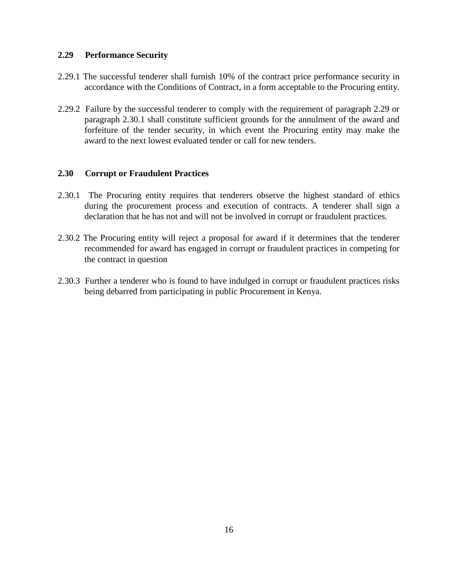#### **2.29 Performance Security**

- 2.29.1 The successful tenderer shall furnish 10% of the contract price performance security in accordance with the Conditions of Contract, in a form acceptable to the Procuring entity.
- 2.29.2 Failure by the successful tenderer to comply with the requirement of paragraph 2.29 or paragraph 2.30.1 shall constitute sufficient grounds for the annulment of the award and forfeiture of the tender security, in which event the Procuring entity may make the award to the next lowest evaluated tender or call for new tenders.

#### **2.30 Corrupt or Fraudulent Practices**

- 2.30.1 The Procuring entity requires that tenderers observe the highest standard of ethics during the procurement process and execution of contracts. A tenderer shall sign a declaration that he has not and will not be involved in corrupt or fraudulent practices.
- 2.30.2 The Procuring entity will reject a proposal for award if it determines that the tenderer recommended for award has engaged in corrupt or fraudulent practices in competing for the contract in question
- 2.30.3 Further a tenderer who is found to have indulged in corrupt or fraudulent practices risks being debarred from participating in public Procurement in Kenya.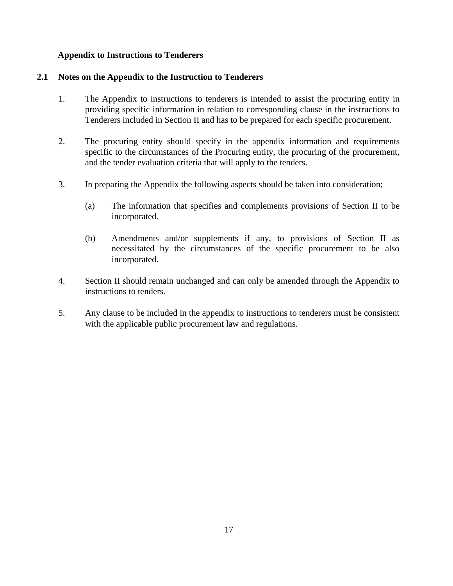#### **Appendix to Instructions to Tenderers**

#### **2.1 Notes on the Appendix to the Instruction to Tenderers**

- 1. The Appendix to instructions to tenderers is intended to assist the procuring entity in providing specific information in relation to corresponding clause in the instructions to Tenderers included in Section II and has to be prepared for each specific procurement.
- 2. The procuring entity should specify in the appendix information and requirements specific to the circumstances of the Procuring entity, the procuring of the procurement, and the tender evaluation criteria that will apply to the tenders.
- 3. In preparing the Appendix the following aspects should be taken into consideration;
	- (a) The information that specifies and complements provisions of Section II to be incorporated.
	- (b) Amendments and/or supplements if any, to provisions of Section II as necessitated by the circumstances of the specific procurement to be also incorporated.
- 4. Section II should remain unchanged and can only be amended through the Appendix to instructions to tenders.
- 5. Any clause to be included in the appendix to instructions to tenderers must be consistent with the applicable public procurement law and regulations.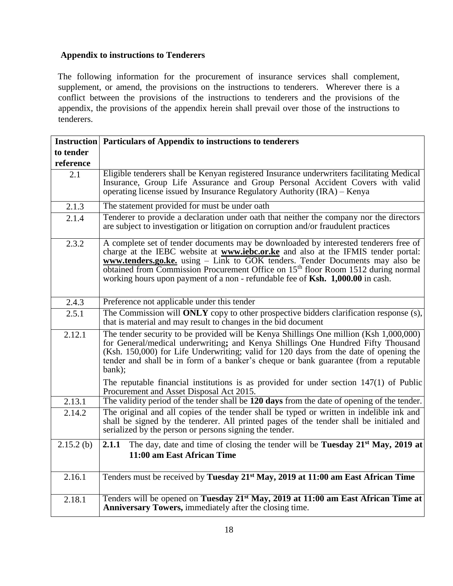# **Appendix to instructions to Tenderers**

The following information for the procurement of insurance services shall complement, supplement, or amend, the provisions on the instructions to tenderers. Wherever there is a conflict between the provisions of the instructions to tenderers and the provisions of the appendix, the provisions of the appendix herein shall prevail over those of the instructions to tenderers.

|              | <b>Instruction</b> Particulars of Appendix to instructions to tenderers                                                                                                                                                                                                                                                                                                                                                                             |  |  |
|--------------|-----------------------------------------------------------------------------------------------------------------------------------------------------------------------------------------------------------------------------------------------------------------------------------------------------------------------------------------------------------------------------------------------------------------------------------------------------|--|--|
| to tender    |                                                                                                                                                                                                                                                                                                                                                                                                                                                     |  |  |
| reference    |                                                                                                                                                                                                                                                                                                                                                                                                                                                     |  |  |
| 2.1          | Eligible tenderers shall be Kenyan registered Insurance underwriters facilitating Medical<br>Insurance, Group Life Assurance and Group Personal Accident Covers with valid<br>operating license issued by Insurance Regulatory Authority (IRA) – Kenya                                                                                                                                                                                              |  |  |
| 2.1.3        | The statement provided for must be under oath                                                                                                                                                                                                                                                                                                                                                                                                       |  |  |
| 2.1.4        | Tenderer to provide a declaration under oath that neither the company nor the directors<br>are subject to investigation or litigation on corruption and/or fraudulent practices                                                                                                                                                                                                                                                                     |  |  |
| 2.3.2        | A complete set of tender documents may be downloaded by interested tenderers free of<br>charge at the IEBC website at <b>www.iebc.or.ke</b> and also at the IFMIS tender portal:<br>www.tenders.go.ke. using – Link to GOK tenders. Tender Documents may also be<br>obtained from Commission Procurement Office on 15 <sup>th</sup> floor Room 1512 during normal<br>working hours upon payment of a non - refundable fee of Ksh. 1,000.00 in cash. |  |  |
| 2.4.3        | Preference not applicable under this tender                                                                                                                                                                                                                                                                                                                                                                                                         |  |  |
| 2.5.1        | The Commission will <b>ONLY</b> copy to other prospective bidders clarification response (s),<br>that is material and may result to changes in the bid document                                                                                                                                                                                                                                                                                     |  |  |
| 2.12.1       | The tender security to be provided will be Kenya Shillings One million (Ksh 1,000,000)<br>for General/medical underwriting; and Kenya Shillings One Hundred Fifty Thousand<br>(Ksh. 150,000) for Life Underwriting; valid for 120 days from the date of opening the<br>tender and shall be in form of a banker's cheque or bank guarantee (from a reputable<br>bank);                                                                               |  |  |
|              | The reputable financial institutions is as provided for under section $147(1)$ of Public<br>Procurement and Asset Disposal Act 2015.                                                                                                                                                                                                                                                                                                                |  |  |
| 2.13.1       | The validity period of the tender shall be 120 days from the date of opening of the tender.                                                                                                                                                                                                                                                                                                                                                         |  |  |
| 2.14.2       | The original and all copies of the tender shall be typed or written in indelible ink and<br>shall be signed by the tenderer. All printed pages of the tender shall be initialed and<br>serialized by the person or persons signing the tender.                                                                                                                                                                                                      |  |  |
| $2.15.2$ (b) | The day, date and time of closing the tender will be Tuesday 21 <sup>st</sup> May, 2019 at<br>2.1.1<br>11:00 am East African Time                                                                                                                                                                                                                                                                                                                   |  |  |
| 2.16.1       | Tenders must be received by Tuesday 21 <sup>st</sup> May, 2019 at 11:00 am East African Time                                                                                                                                                                                                                                                                                                                                                        |  |  |
| 2.18.1       | Tenders will be opened on Tuesday 21 <sup>st</sup> May, 2019 at 11:00 am East African Time at<br><b>Anniversary Towers, immediately after the closing time.</b>                                                                                                                                                                                                                                                                                     |  |  |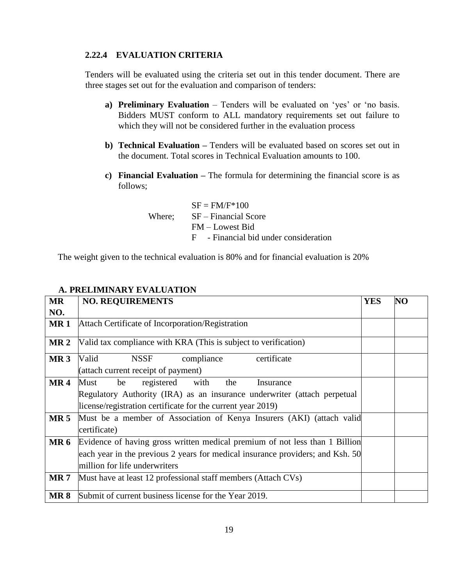#### **2.22.4 EVALUATION CRITERIA**

Tenders will be evaluated using the criteria set out in this tender document. There are three stages set out for the evaluation and comparison of tenders:

- **a) Preliminary Evaluation** Tenders will be evaluated on 'yes' or 'no basis. Bidders MUST conform to ALL mandatory requirements set out failure to which they will not be considered further in the evaluation process
- **b) Technical Evaluation –** Tenders will be evaluated based on scores set out in the document. Total scores in Technical Evaluation amounts to 100.
- **c) Financial Evaluation –** The formula for determining the financial score is as follows;

|        | $SF = FM/F*100$                     |
|--------|-------------------------------------|
| Where: | SF – Financial Score                |
|        | FM – Lowest Bid                     |
|        | - Financial bid under consideration |

The weight given to the technical evaluation is 80% and for financial evaluation is 20%

| <b>MR</b>       | <b>NO. REQUIREMENTS</b>                                                                                                                                                                         | <b>YES</b> | NO |
|-----------------|-------------------------------------------------------------------------------------------------------------------------------------------------------------------------------------------------|------------|----|
| NO.             |                                                                                                                                                                                                 |            |    |
| MR <sub>1</sub> | Attach Certificate of Incorporation/Registration                                                                                                                                                |            |    |
| MR <sub>2</sub> | Valid tax compliance with KRA (This is subject to verification)                                                                                                                                 |            |    |
| <b>MR3</b>      | Valid<br>certificate<br>NSSF<br>compliance<br>(attach current receipt of payment)                                                                                                               |            |    |
| <b>MR4</b>      | Must<br>registered<br>be<br>with<br>the<br>Insurance<br>Regulatory Authority (IRA) as an insurance underwriter (attach perpetual<br>license/registration certificate for the current year 2019) |            |    |
| MR <sub>5</sub> | Must be a member of Association of Kenya Insurers (AKI) (attach valid<br>certificate)                                                                                                           |            |    |
| <b>MR 6</b>     | Evidence of having gross written medical premium of not less than 1 Billion<br>each year in the previous 2 years for medical insurance providers; and Ksh. 50<br>million for life underwriters  |            |    |
| <b>MR7</b>      | Must have at least 12 professional staff members (Attach CVs)                                                                                                                                   |            |    |
| <b>MR8</b>      | Submit of current business license for the Year 2019.                                                                                                                                           |            |    |

#### **A. PRELIMINARY EVALUATION**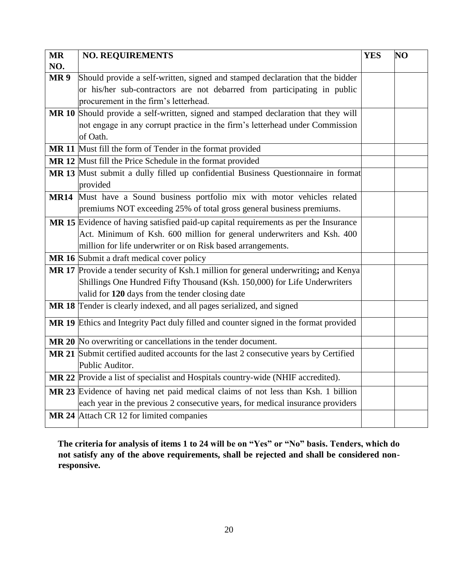| <b>MR</b>   | <b>NO. REQUIREMENTS</b>                                                               | <b>YES</b> | NO |
|-------------|---------------------------------------------------------------------------------------|------------|----|
| NO.         |                                                                                       |            |    |
| <b>MR9</b>  | Should provide a self-written, signed and stamped declaration that the bidder         |            |    |
|             | or his/her sub-contractors are not debarred from participating in public              |            |    |
|             | procurement in the firm's letterhead.                                                 |            |    |
|             | MR 10 Should provide a self-written, signed and stamped declaration that they will    |            |    |
|             | not engage in any corrupt practice in the firm's letterhead under Commission          |            |    |
|             | of Oath.                                                                              |            |    |
|             | MR 11 Must fill the form of Tender in the format provided                             |            |    |
|             | MR 12 Must fill the Price Schedule in the format provided                             |            |    |
|             | MR 13 Must submit a dully filled up confidential Business Questionnaire in format     |            |    |
|             | provided                                                                              |            |    |
| <b>MR14</b> | Must have a Sound business portfolio mix with motor vehicles related                  |            |    |
|             | premiums NOT exceeding 25% of total gross general business premiums.                  |            |    |
|             | MR 15 Evidence of having satisfied paid-up capital requirements as per the Insurance  |            |    |
|             | Act. Minimum of Ksh. 600 million for general underwriters and Ksh. 400                |            |    |
|             | million for life underwriter or on Risk based arrangements.                           |            |    |
|             | MR 16 Submit a draft medical cover policy                                             |            |    |
|             | MR 17 Provide a tender security of Ksh.1 million for general underwriting; and Kenya  |            |    |
|             | Shillings One Hundred Fifty Thousand (Ksh. 150,000) for Life Underwriters             |            |    |
|             | valid for 120 days from the tender closing date                                       |            |    |
|             | MR 18 Tender is clearly indexed, and all pages serialized, and signed                 |            |    |
|             | MR 19 Ethics and Integrity Pact duly filled and counter signed in the format provided |            |    |
|             | MR 20 No overwriting or cancellations in the tender document.                         |            |    |
|             | MR 21 Submit certified audited accounts for the last 2 consecutive years by Certified |            |    |
|             | Public Auditor.                                                                       |            |    |
|             | MR 22 Provide a list of specialist and Hospitals country-wide (NHIF accredited).      |            |    |
|             | MR 23 Evidence of having net paid medical claims of not less than Ksh. 1 billion      |            |    |
|             | each year in the previous 2 consecutive years, for medical insurance providers        |            |    |
|             | MR 24 Attach CR 12 for limited companies                                              |            |    |
|             |                                                                                       |            |    |

**The criteria for analysis of items 1 to 24 will be on "Yes" or "No" basis. Tenders, which do not satisfy any of the above requirements, shall be rejected and shall be considered nonresponsive.**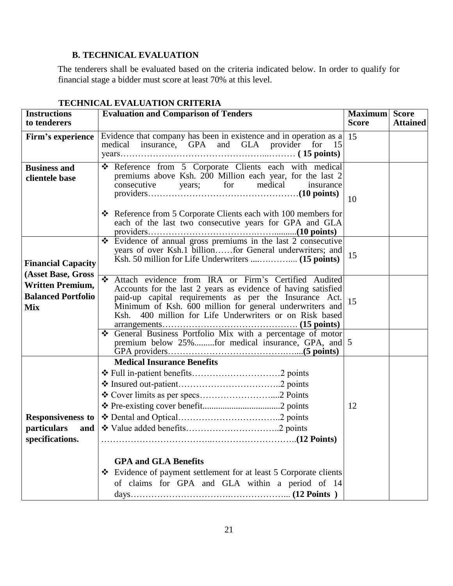# **B. TECHNICAL EVALUATION**

The tenderers shall be evaluated based on the criteria indicated below. In order to qualify for financial stage a bidder must score at least 70% at this level.

| TECHNICAL EVALUATION CNITENIA<br><b>Maximum</b> Score |                                                                                                         |              |                 |  |
|-------------------------------------------------------|---------------------------------------------------------------------------------------------------------|--------------|-----------------|--|
| <b>Instructions</b><br>to tenderers                   | <b>Evaluation and Comparison of Tenders</b>                                                             | <b>Score</b> | <b>Attained</b> |  |
|                                                       |                                                                                                         |              |                 |  |
| Firm's experience                                     | Evidence that company has been in existence and in operation as a                                       | 15           |                 |  |
|                                                       | medical insurance, GPA and GLA provider for 15                                                          |              |                 |  |
|                                                       |                                                                                                         |              |                 |  |
| <b>Business and</b>                                   | * Reference from 5 Corporate Clients each with medical                                                  |              |                 |  |
| clientele base                                        | premiums above Ksh. 200 Million each year, for the last 2<br>for<br>medical<br>insurance<br>consecutive |              |                 |  |
|                                                       | years;                                                                                                  |              |                 |  |
|                                                       |                                                                                                         | 10           |                 |  |
|                                                       | $\triangleleft$ Reference from 5 Corporate Clients each with 100 members for                            |              |                 |  |
|                                                       | each of the last two consecutive years for GPA and GLA                                                  |              |                 |  |
|                                                       |                                                                                                         |              |                 |  |
|                                                       | Evidence of annual gross premiums in the last 2 consecutive                                             |              |                 |  |
|                                                       | years of over Ksh.1 billionfor General underwriters; and                                                | 15           |                 |  |
| <b>Financial Capacity</b>                             |                                                                                                         |              |                 |  |
| (Asset Base, Gross                                    | Attach evidence from IRA or Firm's Certified Audited<br>$\cdot \cdot$                                   |              |                 |  |
| <b>Written Premium,</b>                               | Accounts for the last 2 years as evidence of having satisfied                                           |              |                 |  |
| <b>Balanced Portfolio</b>                             | paid-up capital requirements as per the Insurance Act.                                                  |              |                 |  |
| <b>Mix</b>                                            | Minimum of Ksh. 600 million for general underwriters and                                                | 15           |                 |  |
|                                                       | 400 million for Life Underwriters or on Risk based<br>Ksh.                                              |              |                 |  |
|                                                       |                                                                                                         |              |                 |  |
|                                                       | General Business Portfolio Mix with a percentage of motor<br>❖                                          |              |                 |  |
|                                                       | premium below 25%for medical insurance, GPA, and 5                                                      |              |                 |  |
|                                                       | <b>Medical Insurance Benefits</b>                                                                       |              |                 |  |
|                                                       |                                                                                                         |              |                 |  |
|                                                       |                                                                                                         |              |                 |  |
|                                                       |                                                                                                         |              |                 |  |
|                                                       |                                                                                                         | 12           |                 |  |
| <b>Responsiveness to</b>                              |                                                                                                         |              |                 |  |
| <i>particulars</i><br>and                             |                                                                                                         |              |                 |  |
| specifications.                                       |                                                                                                         |              |                 |  |
|                                                       |                                                                                                         |              |                 |  |
|                                                       | <b>GPA and GLA Benefits</b>                                                                             |              |                 |  |
|                                                       | Evidence of payment settlement for at least 5 Corporate clients<br>❖                                    |              |                 |  |
|                                                       | of claims for GPA and GLA within a period of 14                                                         |              |                 |  |
|                                                       |                                                                                                         |              |                 |  |
|                                                       |                                                                                                         |              |                 |  |

# **TECHNICAL EVALUATION CRITERIA**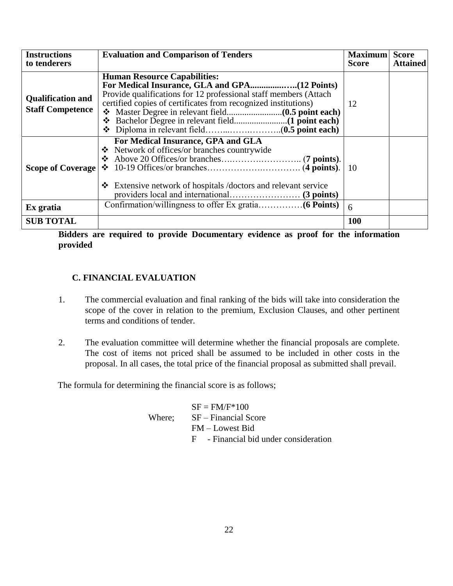| <b>Instructions</b><br>to tenderers                 | <b>Evaluation and Comparison of Tenders</b>                                                                                                                               | <b>Maximum</b><br>Score | <b>Score</b><br><b>Attained</b> |
|-----------------------------------------------------|---------------------------------------------------------------------------------------------------------------------------------------------------------------------------|-------------------------|---------------------------------|
| <b>Qualification and</b><br><b>Staff Competence</b> | <b>Human Resource Capabilities:</b><br>Provide qualifications for 12 professional staff members (Attach<br>certified copies of certificates from recognized institutions) | 12                      |                                 |
| <b>Scope of Coverage</b>                            | For Medical Insurance, GPA and GLA<br>❖ Network of offices/or branches countrywide<br>❖<br>Extensive network of hospitals / doctors and relevant service<br>❖             | 10                      |                                 |
| Ex gratia                                           |                                                                                                                                                                           | 6                       |                                 |
| <b>SUB TOTAL</b>                                    |                                                                                                                                                                           | 100                     |                                 |

#### **Bidders are required to provide Documentary evidence as proof for the information provided**

# **C. FINANCIAL EVALUATION**

- 1. The commercial evaluation and final ranking of the bids will take into consideration the scope of the cover in relation to the premium, Exclusion Clauses, and other pertinent terms and conditions of tender.
- 2. The evaluation committee will determine whether the financial proposals are complete. The cost of items not priced shall be assumed to be included in other costs in the proposal. In all cases, the total price of the financial proposal as submitted shall prevail.

The formula for determining the financial score is as follows;

 $SF = FM/F*100$ Where:  $SF - Financial Score$  FM – Lowest Bid F - Financial bid under consideration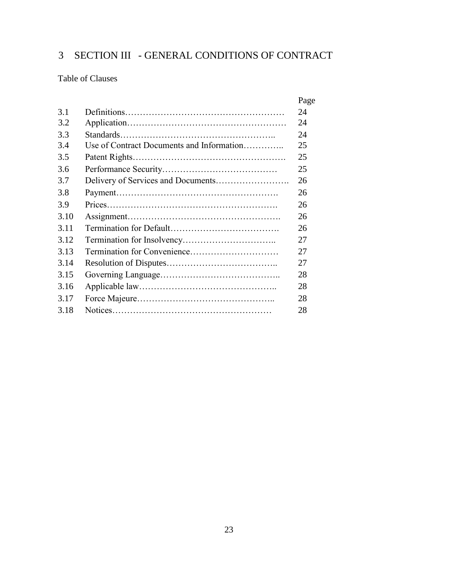# <span id="page-22-0"></span>3 SECTION III - GENERAL CONDITIONS OF CONTRACT

Table of Clauses

|      |                                           | Page |
|------|-------------------------------------------|------|
| 3.1  |                                           | 24   |
| 3.2  |                                           | 24   |
| 3.3  |                                           | 24   |
| 3.4  | Use of Contract Documents and Information | 25   |
| 3.5  |                                           | 25   |
| 3.6  |                                           | 25   |
| 3.7  |                                           | 26   |
| 3.8  |                                           | 26   |
| 3.9  |                                           | 26   |
| 3.10 |                                           | 26   |
| 3.11 |                                           | 26   |
| 3.12 |                                           | 27   |
| 3.13 |                                           | 27   |
| 3.14 |                                           | 27   |
| 3.15 |                                           | 28   |
| 3.16 |                                           | 28   |
| 3.17 |                                           | 28   |
| 3.18 |                                           | 28   |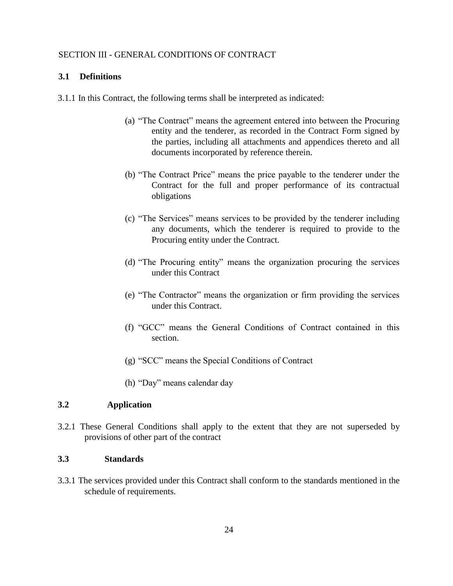#### SECTION III - GENERAL CONDITIONS OF CONTRACT

#### **3.1 Definitions**

3.1.1 In this Contract, the following terms shall be interpreted as indicated:

- (a) "The Contract" means the agreement entered into between the Procuring entity and the tenderer, as recorded in the Contract Form signed by the parties, including all attachments and appendices thereto and all documents incorporated by reference therein.
- (b) "The Contract Price" means the price payable to the tenderer under the Contract for the full and proper performance of its contractual obligations
- (c) "The Services" means services to be provided by the tenderer including any documents, which the tenderer is required to provide to the Procuring entity under the Contract.
- (d) "The Procuring entity" means the organization procuring the services under this Contract
- (e) "The Contractor" means the organization or firm providing the services under this Contract.
- (f) "GCC" means the General Conditions of Contract contained in this section.
- (g) "SCC" means the Special Conditions of Contract
- (h) "Day" means calendar day

#### **3.2 Application**

3.2.1 These General Conditions shall apply to the extent that they are not superseded by provisions of other part of the contract

#### **3.3 Standards**

3.3.1 The services provided under this Contract shall conform to the standards mentioned in the schedule of requirements.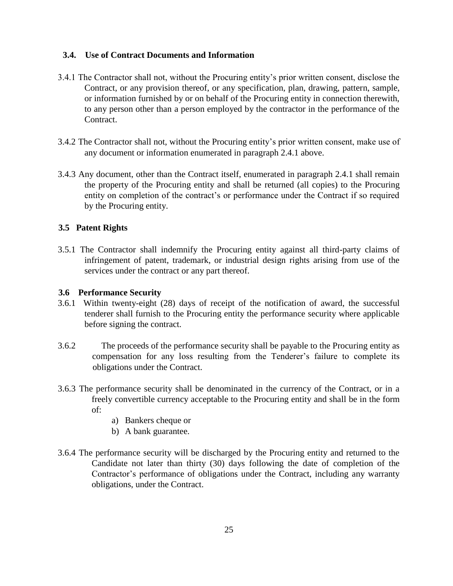#### **3.4. Use of Contract Documents and Information**

- 3.4.1 The Contractor shall not, without the Procuring entity's prior written consent, disclose the Contract, or any provision thereof, or any specification, plan, drawing, pattern, sample, or information furnished by or on behalf of the Procuring entity in connection therewith, to any person other than a person employed by the contractor in the performance of the Contract.
- 3.4.2 The Contractor shall not, without the Procuring entity's prior written consent, make use of any document or information enumerated in paragraph 2.4.1 above.
- 3.4.3 Any document, other than the Contract itself, enumerated in paragraph 2.4.1 shall remain the property of the Procuring entity and shall be returned (all copies) to the Procuring entity on completion of the contract's or performance under the Contract if so required by the Procuring entity.

# **3.5 Patent Rights**

3.5.1 The Contractor shall indemnify the Procuring entity against all third-party claims of infringement of patent, trademark, or industrial design rights arising from use of the services under the contract or any part thereof.

#### **3.6 Performance Security**

- 3.6.1 Within twenty-eight (28) days of receipt of the notification of award, the successful tenderer shall furnish to the Procuring entity the performance security where applicable before signing the contract.
- 3.6.2 The proceeds of the performance security shall be payable to the Procuring entity as compensation for any loss resulting from the Tenderer's failure to complete its obligations under the Contract.
- 3.6.3 The performance security shall be denominated in the currency of the Contract, or in a freely convertible currency acceptable to the Procuring entity and shall be in the form of:
	- a) Bankers cheque or
	- b) A bank guarantee.
- 3.6.4 The performance security will be discharged by the Procuring entity and returned to the Candidate not later than thirty (30) days following the date of completion of the Contractor's performance of obligations under the Contract, including any warranty obligations, under the Contract.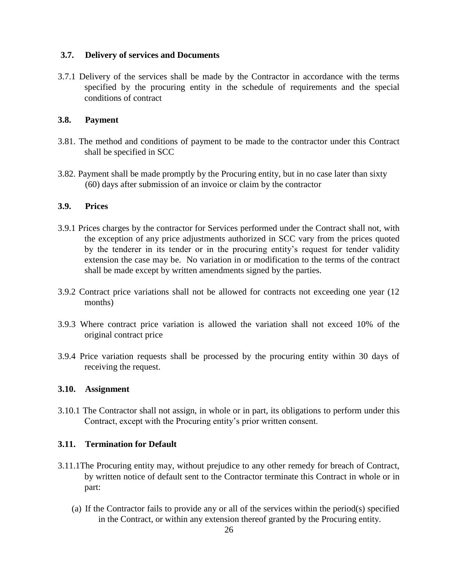#### **3.7. Delivery of services and Documents**

3.7.1 Delivery of the services shall be made by the Contractor in accordance with the terms specified by the procuring entity in the schedule of requirements and the special conditions of contract

#### **3.8. Payment**

- 3.81. The method and conditions of payment to be made to the contractor under this Contract shall be specified in SCC
- 3.82. Payment shall be made promptly by the Procuring entity, but in no case later than sixty (60) days after submission of an invoice or claim by the contractor

#### **3.9. Prices**

- 3.9.1 Prices charges by the contractor for Services performed under the Contract shall not, with the exception of any price adjustments authorized in SCC vary from the prices quoted by the tenderer in its tender or in the procuring entity's request for tender validity extension the case may be. No variation in or modification to the terms of the contract shall be made except by written amendments signed by the parties.
- 3.9.2 Contract price variations shall not be allowed for contracts not exceeding one year (12 months)
- 3.9.3 Where contract price variation is allowed the variation shall not exceed 10% of the original contract price
- 3.9.4 Price variation requests shall be processed by the procuring entity within 30 days of receiving the request.

#### **3.10. Assignment**

3.10.1 The Contractor shall not assign, in whole or in part, its obligations to perform under this Contract, except with the Procuring entity's prior written consent.

#### **3.11. Termination for Default**

- 3.11.1The Procuring entity may, without prejudice to any other remedy for breach of Contract, by written notice of default sent to the Contractor terminate this Contract in whole or in part:
	- (a) If the Contractor fails to provide any or all of the services within the period(s) specified in the Contract, or within any extension thereof granted by the Procuring entity.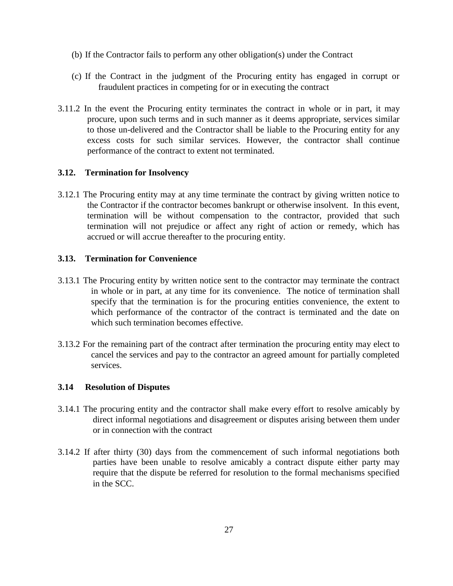- (b) If the Contractor fails to perform any other obligation(s) under the Contract
- (c) If the Contract in the judgment of the Procuring entity has engaged in corrupt or fraudulent practices in competing for or in executing the contract
- 3.11.2 In the event the Procuring entity terminates the contract in whole or in part, it may procure, upon such terms and in such manner as it deems appropriate, services similar to those un-delivered and the Contractor shall be liable to the Procuring entity for any excess costs for such similar services. However, the contractor shall continue performance of the contract to extent not terminated.

#### **3.12. Termination for Insolvency**

3.12.1 The Procuring entity may at any time terminate the contract by giving written notice to the Contractor if the contractor becomes bankrupt or otherwise insolvent. In this event, termination will be without compensation to the contractor, provided that such termination will not prejudice or affect any right of action or remedy, which has accrued or will accrue thereafter to the procuring entity.

#### **3.13. Termination for Convenience**

- 3.13.1 The Procuring entity by written notice sent to the contractor may terminate the contract in whole or in part, at any time for its convenience. The notice of termination shall specify that the termination is for the procuring entities convenience, the extent to which performance of the contractor of the contract is terminated and the date on which such termination becomes effective.
- 3.13.2 For the remaining part of the contract after termination the procuring entity may elect to cancel the services and pay to the contractor an agreed amount for partially completed services.

#### **3.14 Resolution of Disputes**

- 3.14.1 The procuring entity and the contractor shall make every effort to resolve amicably by direct informal negotiations and disagreement or disputes arising between them under or in connection with the contract
- 3.14.2 If after thirty (30) days from the commencement of such informal negotiations both parties have been unable to resolve amicably a contract dispute either party may require that the dispute be referred for resolution to the formal mechanisms specified in the SCC.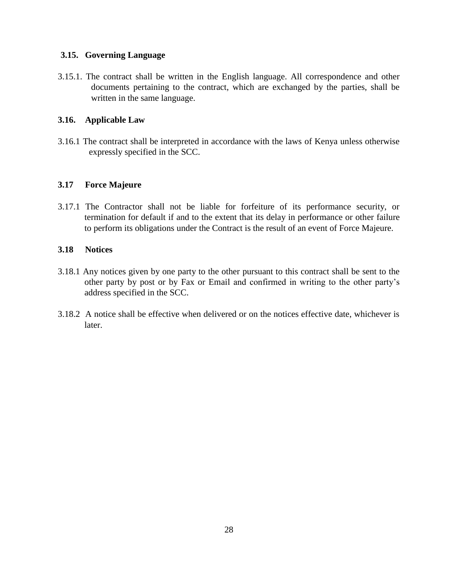#### **3.15. Governing Language**

3.15.1. The contract shall be written in the English language. All correspondence and other documents pertaining to the contract, which are exchanged by the parties, shall be written in the same language.

#### **3.16. Applicable Law**

3.16.1 The contract shall be interpreted in accordance with the laws of Kenya unless otherwise expressly specified in the SCC.

#### **3.17 Force Majeure**

3.17.1 The Contractor shall not be liable for forfeiture of its performance security, or termination for default if and to the extent that its delay in performance or other failure to perform its obligations under the Contract is the result of an event of Force Majeure.

#### **3.18 Notices**

- 3.18.1 Any notices given by one party to the other pursuant to this contract shall be sent to the other party by post or by Fax or Email and confirmed in writing to the other party's address specified in the SCC.
- 3.18.2 A notice shall be effective when delivered or on the notices effective date, whichever is later.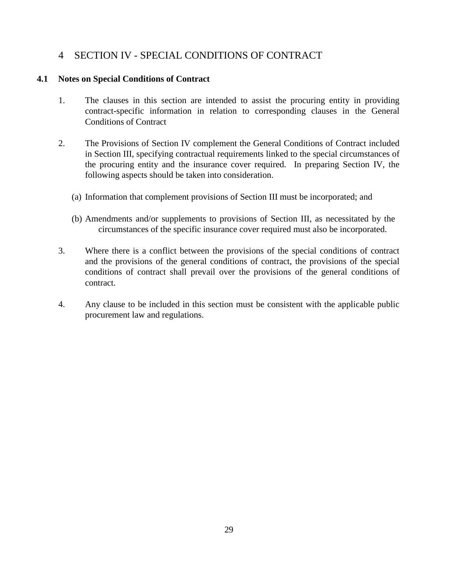# <span id="page-28-0"></span>4 SECTION IV - SPECIAL CONDITIONS OF CONTRACT

#### **4.1 Notes on Special Conditions of Contract**

- 1. The clauses in this section are intended to assist the procuring entity in providing contract-specific information in relation to corresponding clauses in the General Conditions of Contract
- 2. The Provisions of Section IV complement the General Conditions of Contract included in Section III, specifying contractual requirements linked to the special circumstances of the procuring entity and the insurance cover required. In preparing Section IV, the following aspects should be taken into consideration.
	- (a) Information that complement provisions of Section III must be incorporated; and
	- (b) Amendments and/or supplements to provisions of Section III, as necessitated by the circumstances of the specific insurance cover required must also be incorporated.
- 3. Where there is a conflict between the provisions of the special conditions of contract and the provisions of the general conditions of contract, the provisions of the special conditions of contract shall prevail over the provisions of the general conditions of contract.
- 4. Any clause to be included in this section must be consistent with the applicable public procurement law and regulations.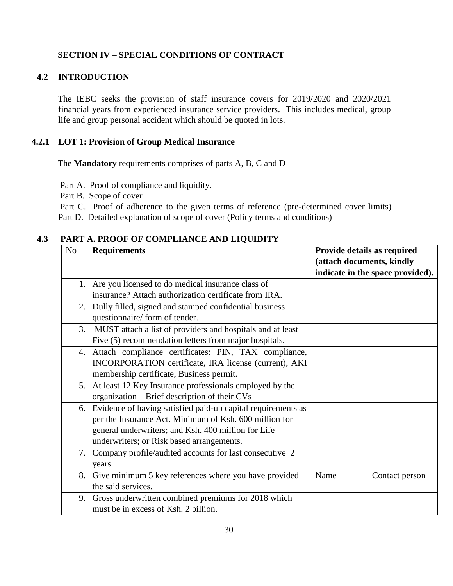# **SECTION IV – SPECIAL CONDITIONS OF CONTRACT**

#### **4.2 INTRODUCTION**

The IEBC seeks the provision of staff insurance covers for 2019/2020 and 2020/2021 financial years from experienced insurance service providers. This includes medical, group life and group personal accident which should be quoted in lots.

#### **4.2.1 LOT 1: Provision of Group Medical Insurance**

The **Mandatory** requirements comprises of parts A, B, C and D

Part A. Proof of compliance and liquidity.

Part B. Scope of cover

Part C. Proof of adherence to the given terms of reference (pre-determined cover limits)

Part D. Detailed explanation of scope of cover (Policy terms and conditions)

#### **4.3 PART A. PROOF OF COMPLIANCE AND LIQUIDITY**

| N <sub>o</sub> | <b>Requirements</b>                                          | Provide details as required      |
|----------------|--------------------------------------------------------------|----------------------------------|
|                |                                                              | (attach documents, kindly        |
|                |                                                              | indicate in the space provided). |
| 1.             | Are you licensed to do medical insurance class of            |                                  |
|                | insurance? Attach authorization certificate from IRA.        |                                  |
| 2.             | Dully filled, signed and stamped confidential business       |                                  |
|                | questionnaire/ form of tender.                               |                                  |
| 3.             | MUST attach a list of providers and hospitals and at least   |                                  |
|                | Five (5) recommendation letters from major hospitals.        |                                  |
| 4.             | Attach compliance certificates: PIN, TAX compliance,         |                                  |
|                | INCORPORATION certificate, IRA license (current), AKI        |                                  |
|                | membership certificate, Business permit.                     |                                  |
| 5.             | At least 12 Key Insurance professionals employed by the      |                                  |
|                | organization – Brief description of their CVs                |                                  |
| 6.             | Evidence of having satisfied paid-up capital requirements as |                                  |
|                | per the Insurance Act. Minimum of Ksh. 600 million for       |                                  |
|                | general underwriters; and Ksh. 400 million for Life          |                                  |
|                | underwriters; or Risk based arrangements.                    |                                  |
| 7.             | Company profile/audited accounts for last consecutive 2      |                                  |
|                | years                                                        |                                  |
| 8.             | Give minimum 5 key references where you have provided        | Name<br>Contact person           |
|                | the said services.                                           |                                  |
| 9.             | Gross underwritten combined premiums for 2018 which          |                                  |
|                | must be in excess of Ksh. 2 billion.                         |                                  |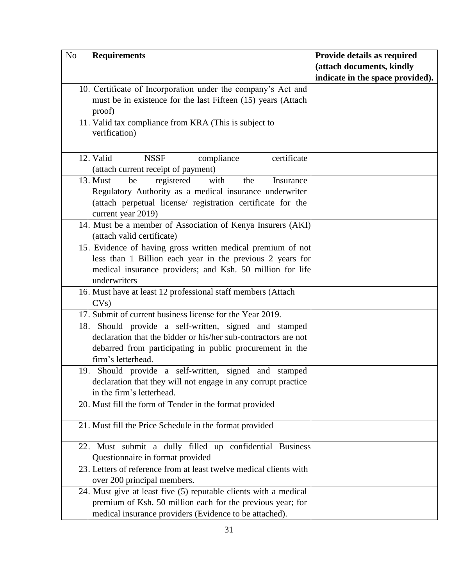| N <sub>o</sub> | <b>Requirements</b>                                                  | Provide details as required      |
|----------------|----------------------------------------------------------------------|----------------------------------|
|                |                                                                      | (attach documents, kindly        |
|                |                                                                      | indicate in the space provided). |
|                | 10. Certificate of Incorporation under the company's Act and         |                                  |
|                | must be in existence for the last Fifteen (15) years (Attach         |                                  |
|                | proof)                                                               |                                  |
|                | 11. Valid tax compliance from KRA (This is subject to                |                                  |
|                | verification)                                                        |                                  |
|                |                                                                      |                                  |
|                | 12. Valid<br><b>NSSF</b><br>certificate<br>compliance                |                                  |
|                | (attach current receipt of payment)                                  |                                  |
|                | 13. Must<br>registered<br>be<br>with<br>the<br>Insurance             |                                  |
|                | Regulatory Authority as a medical insurance underwriter              |                                  |
|                | (attach perpetual license/ registration certificate for the          |                                  |
|                | current year 2019)                                                   |                                  |
|                | 14. Must be a member of Association of Kenya Insurers (AKI)          |                                  |
|                | (attach valid certificate)                                           |                                  |
|                | 15. Evidence of having gross written medical premium of not          |                                  |
|                | less than 1 Billion each year in the previous 2 years for            |                                  |
|                | medical insurance providers; and Ksh. 50 million for life            |                                  |
|                | underwriters                                                         |                                  |
|                | 16. Must have at least 12 professional staff members (Attach<br>CVs) |                                  |
|                | 17. Submit of current business license for the Year 2019.            |                                  |
|                | 18. Should provide a self-written, signed and stamped                |                                  |
|                | declaration that the bidder or his/her sub-contractors are not       |                                  |
|                | debarred from participating in public procurement in the             |                                  |
|                | firm's letterhead.                                                   |                                  |
| 19.            | Should provide a self-written, signed and stamped                    |                                  |
|                | declaration that they will not engage in any corrupt practice        |                                  |
|                | in the firm's letterhead.                                            |                                  |
|                | 20. Must fill the form of Tender in the format provided              |                                  |
|                |                                                                      |                                  |
|                | 21. Must fill the Price Schedule in the format provided              |                                  |
|                |                                                                      |                                  |
| 22.            | Must submit a dully filled up confidential Business                  |                                  |
|                | Questionnaire in format provided                                     |                                  |
|                | 23. Letters of reference from at least twelve medical clients with   |                                  |
|                | over 200 principal members.                                          |                                  |
|                | 24. Must give at least five (5) reputable clients with a medical     |                                  |
|                | premium of Ksh. 50 million each for the previous year; for           |                                  |
|                | medical insurance providers (Evidence to be attached).               |                                  |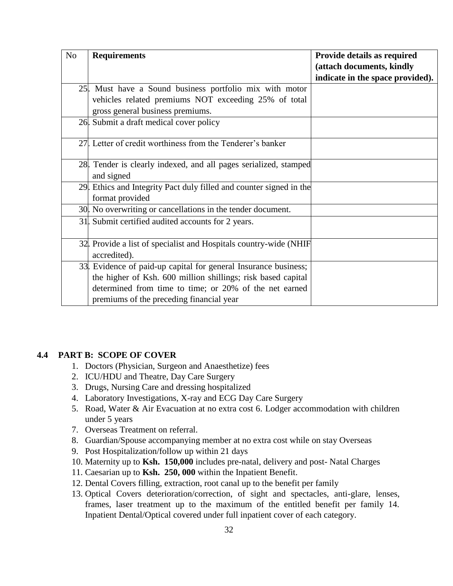| N <sub>o</sub> | <b>Requirements</b>                                                 | Provide details as required      |
|----------------|---------------------------------------------------------------------|----------------------------------|
|                |                                                                     | (attach documents, kindly        |
|                |                                                                     | indicate in the space provided). |
|                | 25. Must have a Sound business portfolio mix with motor             |                                  |
|                | vehicles related premiums NOT exceeding 25% of total                |                                  |
|                | gross general business premiums.                                    |                                  |
|                | 26. Submit a draft medical cover policy                             |                                  |
|                |                                                                     |                                  |
|                | 27. Letter of credit worthiness from the Tenderer's banker          |                                  |
|                |                                                                     |                                  |
|                | 28. Tender is clearly indexed, and all pages serialized, stamped    |                                  |
|                | and signed                                                          |                                  |
|                | 29. Ethics and Integrity Pact duly filled and counter signed in the |                                  |
|                | format provided                                                     |                                  |
|                | 30. No overwriting or cancellations in the tender document.         |                                  |
|                | 31. Submit certified audited accounts for 2 years.                  |                                  |
|                |                                                                     |                                  |
|                | 32. Provide a list of specialist and Hospitals country-wide (NHIF   |                                  |
|                | accredited).                                                        |                                  |
|                | 33. Evidence of paid-up capital for general Insurance business;     |                                  |
|                | the higher of Ksh. 600 million shillings; risk based capital        |                                  |
|                | determined from time to time; or 20% of the net earned              |                                  |
|                | premiums of the preceding financial year                            |                                  |

#### **4.4 PART B: SCOPE OF COVER**

- 1. Doctors (Physician, Surgeon and Anaesthetize) fees
- 2. ICU/HDU and Theatre, Day Care Surgery
- 3. Drugs, Nursing Care and dressing hospitalized
- 4. Laboratory Investigations, X-ray and ECG Day Care Surgery
- 5. Road, Water & Air Evacuation at no extra cost 6. Lodger accommodation with children under 5 years
- 7. Overseas Treatment on referral.
- 8. Guardian/Spouse accompanying member at no extra cost while on stay Overseas
- 9. Post Hospitalization/follow up within 21 days
- 10. Maternity up to **Ksh. 150,000** includes pre-natal, delivery and post- Natal Charges
- 11. Caesarian up to **Ksh. 250, 000** within the Inpatient Benefit.
- 12. Dental Covers filling, extraction, root canal up to the benefit per family
- 13. Optical Covers deterioration/correction, of sight and spectacles, anti-glare, lenses, frames, laser treatment up to the maximum of the entitled benefit per family 14. Inpatient Dental/Optical covered under full inpatient cover of each category.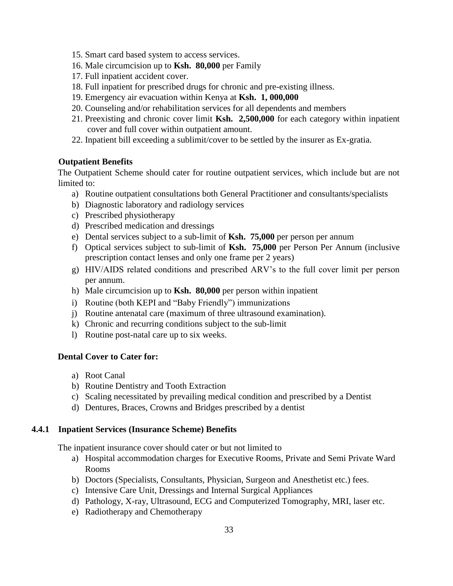- 15. Smart card based system to access services.
- 16. Male circumcision up to **Ksh. 80,000** per Family
- 17. Full inpatient accident cover.
- 18. Full inpatient for prescribed drugs for chronic and pre-existing illness.
- 19. Emergency air evacuation within Kenya at **Ksh. 1, 000,000**
- 20. Counseling and/or rehabilitation services for all dependents and members
- 21. Preexisting and chronic cover limit **Ksh. 2,500,000** for each category within inpatient cover and full cover within outpatient amount.
- 22. Inpatient bill exceeding a sublimit/cover to be settled by the insurer as Ex-gratia.

#### **Outpatient Benefits**

The Outpatient Scheme should cater for routine outpatient services, which include but are not limited to:

- a) Routine outpatient consultations both General Practitioner and consultants/specialists
- b) Diagnostic laboratory and radiology services
- c) Prescribed physiotherapy
- d) Prescribed medication and dressings
- e) Dental services subject to a sub-limit of **Ksh. 75,000** per person per annum
- f) Optical services subject to sub-limit of **Ksh. 75,000** per Person Per Annum (inclusive prescription contact lenses and only one frame per 2 years)
- g) HIV/AIDS related conditions and prescribed ARV's to the full cover limit per person per annum.
- h) Male circumcision up to **Ksh. 80,000** per person within inpatient
- i) Routine (both KEPI and "Baby Friendly") immunizations
- j) Routine antenatal care (maximum of three ultrasound examination).
- k) Chronic and recurring conditions subject to the sub-limit
- l) Routine post-natal care up to six weeks.

#### **Dental Cover to Cater for:**

- a) Root Canal
- b) Routine Dentistry and Tooth Extraction
- c) Scaling necessitated by prevailing medical condition and prescribed by a Dentist
- d) Dentures, Braces, Crowns and Bridges prescribed by a dentist

#### **4.4.1 Inpatient Services (Insurance Scheme) Benefits**

The inpatient insurance cover should cater or but not limited to

- a) Hospital accommodation charges for Executive Rooms, Private and Semi Private Ward Rooms
- b) Doctors (Specialists, Consultants, Physician, Surgeon and Anesthetist etc.) fees.
- c) Intensive Care Unit, Dressings and Internal Surgical Appliances
- d) Pathology, X-ray, Ultrasound, ECG and Computerized Tomography, MRI, laser etc.
- e) Radiotherapy and Chemotherapy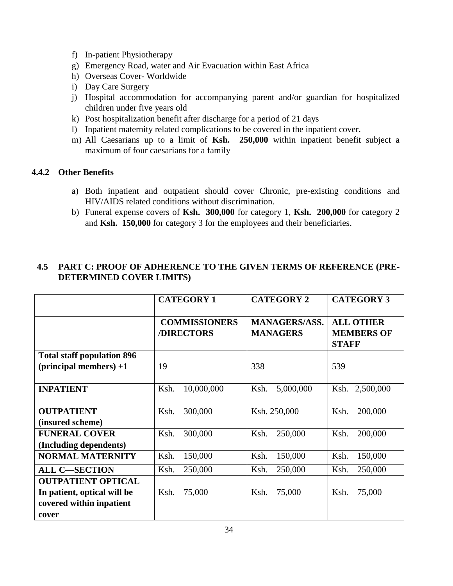- f) In-patient Physiotherapy
- g) Emergency Road, water and Air Evacuation within East Africa
- h) Overseas Cover- Worldwide
- i) Day Care Surgery
- j) Hospital accommodation for accompanying parent and/or guardian for hospitalized children under five years old
- k) Post hospitalization benefit after discharge for a period of 21 days
- l) Inpatient maternity related complications to be covered in the inpatient cover.
- m) All Caesarians up to a limit of **Ksh. 250,000** within inpatient benefit subject a maximum of four caesarians for a family

#### **4.4.2 Other Benefits**

- a) Both inpatient and outpatient should cover Chronic, pre-existing conditions and HIV/AIDS related conditions without discrimination.
- b) Funeral expense covers of **Ksh. 300,000** for category 1, **Ksh. 200,000** for category 2 and **Ksh. 150,000** for category 3 for the employees and their beneficiaries.

# **4.5 PART C: PROOF OF ADHERENCE TO THE GIVEN TERMS OF REFERENCE (PRE-DETERMINED COVER LIMITS)**

|                                                                                               | <b>CATEGORY 1</b>                  | <b>CATEGORY 2</b>                       | <b>CATEGORY 3</b>                                     |
|-----------------------------------------------------------------------------------------------|------------------------------------|-----------------------------------------|-------------------------------------------------------|
|                                                                                               | <b>COMMISSIONERS</b><br>/DIRECTORS | <b>MANAGERS/ASS.</b><br><b>MANAGERS</b> | <b>ALL OTHER</b><br><b>MEMBERS OF</b><br><b>STAFF</b> |
| <b>Total staff population 896</b><br>$(principal$ members) +1                                 | 19                                 | 338                                     | 539                                                   |
| <b>INPATIENT</b>                                                                              | Ksh.<br>10,000,000                 | Ksh.<br>5,000,000                       | Ksh. 2,500,000                                        |
| <b>OUTPATIENT</b><br>(insured scheme)                                                         | Ksh.<br>300,000                    | Ksh. 250,000                            | Ksh.<br>200,000                                       |
| <b>FUNERAL COVER</b><br>(Including dependents)                                                | Ksh.<br>300,000                    | 250,000<br>Ksh.                         | 200,000<br>Ksh.                                       |
| <b>NORMAL MATERNITY</b>                                                                       | 150,000<br>Ksh.                    | 150,000<br>Ksh.                         | Ksh.<br>150,000                                       |
| <b>ALL C-SECTION</b>                                                                          | 250,000<br>Ksh.                    | 250,000<br>Ksh.                         | Ksh.<br>250,000                                       |
| <b>OUTPATIENT OPTICAL</b><br>In patient, optical will be<br>covered within inpatient<br>cover | Ksh.<br>75,000                     | 75,000<br>Ksh.                          | Ksh.<br>75,000                                        |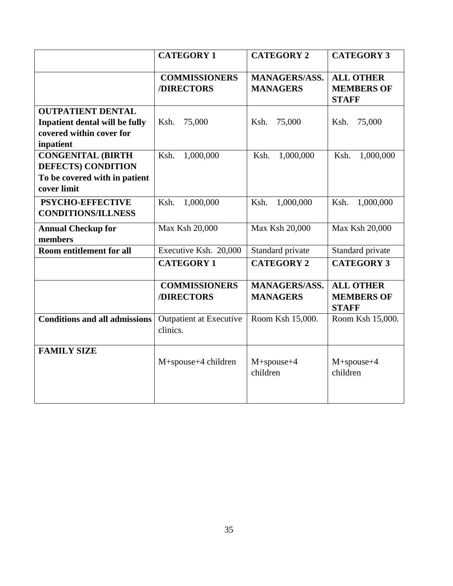|                                                                                                       | <b>CATEGORY 1</b>                   | <b>CATEGORY 2</b>                       | <b>CATEGORY 3</b>                                     |  |
|-------------------------------------------------------------------------------------------------------|-------------------------------------|-----------------------------------------|-------------------------------------------------------|--|
|                                                                                                       | <b>COMMISSIONERS</b><br>/DIRECTORS  | <b>MANAGERS/ASS.</b><br><b>MANAGERS</b> | <b>ALL OTHER</b><br><b>MEMBERS OF</b><br><b>STAFF</b> |  |
| <b>OUTPATIENT DENTAL</b><br>Inpatient dental will be fully<br>covered within cover for<br>inpatient   | 75,000<br>Ksh.                      | 75,000<br>Ksh.                          | 75,000<br>Ksh.                                        |  |
| <b>CONGENITAL (BIRTH</b><br><b>DEFECTS) CONDITION</b><br>To be covered with in patient<br>cover limit | Ksh.<br>1,000,000                   | Ksh.<br>1,000,000                       | Ksh.<br>1,000,000                                     |  |
| PSYCHO-EFFECTIVE<br><b>CONDITIONS/ILLNESS</b>                                                         | Ksh.<br>1,000,000                   | Ksh.<br>1,000,000                       | Ksh.<br>1,000,000                                     |  |
| <b>Annual Checkup for</b><br>members                                                                  | Max Ksh 20,000                      | Max Ksh 20,000                          | Max Ksh 20,000                                        |  |
| <b>Room entitlement for all</b>                                                                       | Executive Ksh. 20,000               | Standard private                        | Standard private                                      |  |
|                                                                                                       | <b>CATEGORY 1</b>                   | <b>CATEGORY 2</b>                       | <b>CATEGORY 3</b>                                     |  |
|                                                                                                       | <b>COMMISSIONERS</b><br>/DIRECTORS  | <b>MANAGERS/ASS.</b><br><b>MANAGERS</b> | <b>ALL OTHER</b><br><b>MEMBERS OF</b><br><b>STAFF</b> |  |
| <b>Conditions and all admissions</b>                                                                  | Outpatient at Executive<br>clinics. | Room Ksh 15,000.                        | Room Ksh 15,000.                                      |  |
| <b>FAMILY SIZE</b>                                                                                    | M+spouse+4 children                 | M+spouse+4<br>children                  | $M+spouse+4$<br>children                              |  |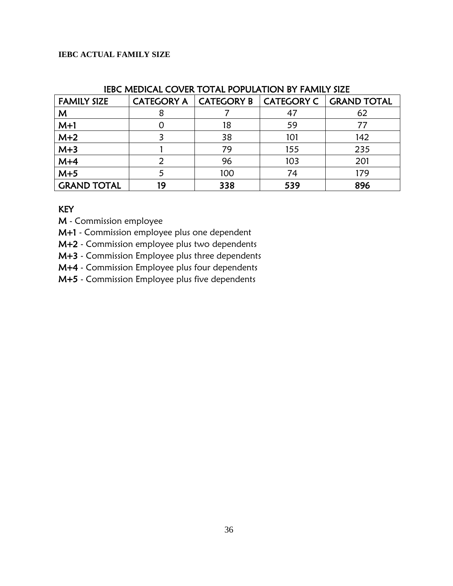#### **IEBC ACTUAL FAMILY SIZE**

| ILDC MILDICAL COVER TOTAL FOFULATION DT TAMILI SIZL |                         |     |     |                          |
|-----------------------------------------------------|-------------------------|-----|-----|--------------------------|
| <b>FAMILY SIZE</b>                                  | CATEGORY A   CATEGORY B |     |     | CATEGORY C   GRAND TOTAL |
| M                                                   |                         |     | 47  | 62                       |
| $M+1$                                               |                         | 18  | 59  | 77                       |
| $M+2$                                               |                         | 38  | 101 | 142                      |
| $M+3$                                               |                         | 79  | 155 | 235                      |
| $M+4$                                               |                         | 96  | 103 | 201                      |
| $M+5$                                               |                         | 100 | 74  | 179                      |
| <b>GRAND TOTAL</b>                                  | 19                      | 338 | 539 | 896                      |

# IERC MEDICAL COVER TOTAL DODLILATION BY FAMILY CITE

#### **KEY**

M - Commission employee

M+1 - Commission employee plus one dependent

M+2 - Commission employee plus two dependents

M+3 - Commission Employee plus three dependents

M+4 - Commission Employee plus four dependents

M+5 - Commission Employee plus five dependents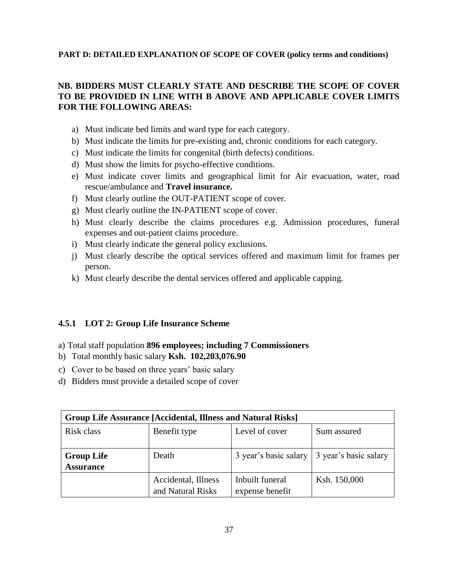#### **PART D: DETAILED EXPLANATION OF SCOPE OF COVER (policy terms and conditions)**

# **NB. BIDDERS MUST CLEARLY STATE AND DESCRIBE THE SCOPE OF COVER TO BE PROVIDED IN LINE WITH B ABOVE AND APPLICABLE COVER LIMITS FOR THE FOLLOWING AREAS:**

- a) Must indicate bed limits and ward type for each category.
- b) Must indicate the limits for pre-existing and, chronic conditions for each category.
- c) Must indicate the limits for congenital (birth defects) conditions.
- d) Must show the limits for psycho-effective conditions.
- e) Must indicate cover limits and geographical limit for Air evacuation, water, road rescue/ambulance and **Travel insurance.**
- f) Must clearly outline the OUT-PATIENT scope of cover.
- g) Must clearly outline the IN-PATIENT scope of cover.
- h) Must clearly describe the claims procedures e.g. Admission procedures, funeral expenses and out-patient claims procedure.
- i) Must clearly indicate the general policy exclusions.
- j) Must clearly describe the optical services offered and maximum limit for frames per person.
- k) Must clearly describe the dental services offered and applicable capping.

#### **4.5.1 LOT 2: Group Life Insurance Scheme**

- a) Total staff population **896 employees; including 7 Commissioners**
- b) Total monthly basic salary **Ksh. 102,203,076.90**
- c) Cover to be based on three years' basic salary
- d) Bidders must provide a detailed scope of cover

| <b>Group Life Assurance [Accidental, Illness and Natural Risks]</b> |                                          |                                    |                       |  |
|---------------------------------------------------------------------|------------------------------------------|------------------------------------|-----------------------|--|
| Risk class                                                          | Benefit type                             | Level of cover                     | Sum assured           |  |
| <b>Group Life</b><br><b>Assurance</b>                               | Death                                    | 3 year's basic salary              | 3 year's basic salary |  |
|                                                                     | Accidental, Illness<br>and Natural Risks | Inbuilt funeral<br>expense benefit | Ksh. 150,000          |  |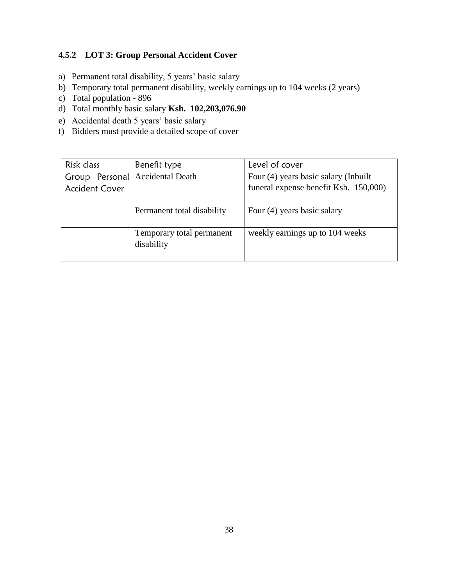# **4.5.2 LOT 3: Group Personal Accident Cover**

- a) Permanent total disability, 5 years' basic salary
- b) Temporary total permanent disability, weekly earnings up to 104 weeks (2 years)
- c) Total population 896
- d) Total monthly basic salary **Ksh. 102,203,076.90**
- e) Accidental death 5 years' basic salary
- f) Bidders must provide a detailed scope of cover

| Risk class                      | Benefit type               | Level of cover                        |
|---------------------------------|----------------------------|---------------------------------------|
| Group Personal Accidental Death |                            | Four (4) years basic salary (Inbuilt  |
| <b>Accident Cover</b>           |                            | funeral expense benefit Ksh. 150,000) |
|                                 |                            |                                       |
|                                 | Permanent total disability | Four (4) years basic salary           |
|                                 |                            |                                       |
|                                 | Temporary total permanent  | weekly earnings up to 104 weeks       |
|                                 | disability                 |                                       |
|                                 |                            |                                       |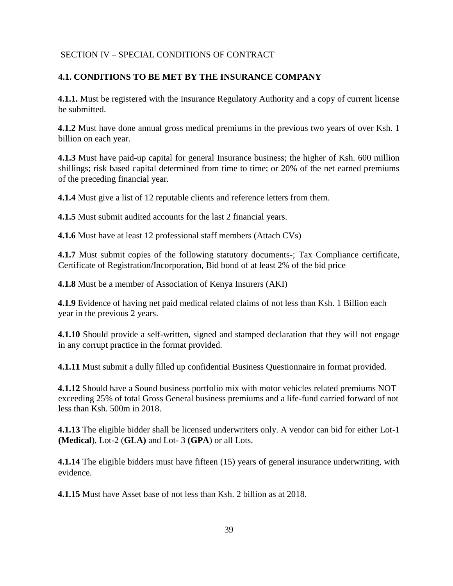# SECTION IV – SPECIAL CONDITIONS OF CONTRACT

#### **4.1. CONDITIONS TO BE MET BY THE INSURANCE COMPANY**

**4.1.1.** Must be registered with the Insurance Regulatory Authority and a copy of current license be submitted.

**4.1.2** Must have done annual gross medical premiums in the previous two years of over Ksh. 1 billion on each year.

**4.1.3** Must have paid-up capital for general Insurance business; the higher of Ksh. 600 million shillings; risk based capital determined from time to time; or 20% of the net earned premiums of the preceding financial year.

**4.1.4** Must give a list of 12 reputable clients and reference letters from them.

**4.1.5** Must submit audited accounts for the last 2 financial years.

**4.1.6** Must have at least 12 professional staff members (Attach CVs)

**4.1.7** Must submit copies of the following statutory documents-; Tax Compliance certificate, Certificate of Registration/Incorporation, Bid bond of at least 2% of the bid price

**4.1.8** Must be a member of Association of Kenya Insurers (AKI)

**4.1.9** Evidence of having net paid medical related claims of not less than Ksh. 1 Billion each year in the previous 2 years.

**4.1.10** Should provide a self-written, signed and stamped declaration that they will not engage in any corrupt practice in the format provided.

**4.1.11** Must submit a dully filled up confidential Business Questionnaire in format provided.

**4.1.12** Should have a Sound business portfolio mix with motor vehicles related premiums NOT exceeding 25% of total Gross General business premiums and a life-fund carried forward of not less than Ksh. 500m in 2018.

**4.1.13** The eligible bidder shall be licensed underwriters only. A vendor can bid for either Lot-1 **(Medical**), Lot-2 (**GLA)** and Lot- 3 **(GPA**) or all Lots.

**4.1.14** The eligible bidders must have fifteen (15) years of general insurance underwriting, with evidence.

**4.1.15** Must have Asset base of not less than Ksh. 2 billion as at 2018.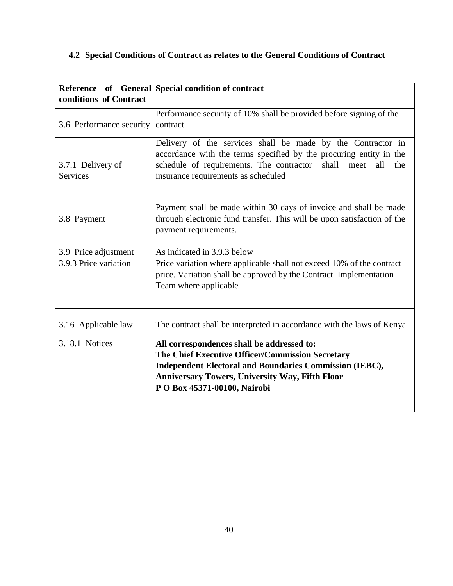# **4.2 Special Conditions of Contract as relates to the General Conditions of Contract**

|                                      | Reference of General Special condition of contract                                                                                                                                                                                                         |
|--------------------------------------|------------------------------------------------------------------------------------------------------------------------------------------------------------------------------------------------------------------------------------------------------------|
| conditions of Contract               |                                                                                                                                                                                                                                                            |
| 3.6 Performance security             | Performance security of 10% shall be provided before signing of the<br>contract                                                                                                                                                                            |
| 3.7.1 Delivery of<br><b>Services</b> | Delivery of the services shall be made by the Contractor in<br>accordance with the terms specified by the procuring entity in the<br>shall<br>schedule of requirements. The contractor<br>meet<br>all<br>the<br>insurance requirements as scheduled        |
| 3.8 Payment                          | Payment shall be made within 30 days of invoice and shall be made<br>through electronic fund transfer. This will be upon satisfaction of the<br>payment requirements.                                                                                      |
| 3.9 Price adjustment                 | As indicated in 3.9.3 below                                                                                                                                                                                                                                |
| 3.9.3 Price variation                | Price variation where applicable shall not exceed 10% of the contract<br>price. Variation shall be approved by the Contract Implementation<br>Team where applicable                                                                                        |
| 3.16 Applicable law                  | The contract shall be interpreted in accordance with the laws of Kenya                                                                                                                                                                                     |
| 3.18.1 Notices                       | All correspondences shall be addressed to:<br>The Chief Executive Officer/Commission Secretary<br><b>Independent Electoral and Boundaries Commission (IEBC),</b><br><b>Anniversary Towers, University Way, Fifth Floor</b><br>P O Box 45371-00100, Nairobi |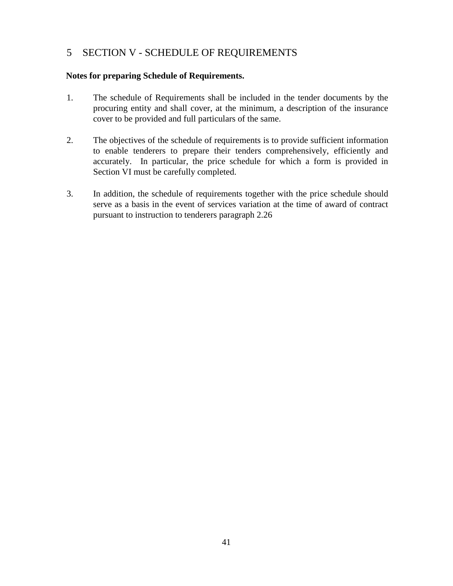# <span id="page-40-0"></span>5 SECTION V - SCHEDULE OF REQUIREMENTS

#### **Notes for preparing Schedule of Requirements.**

- 1. The schedule of Requirements shall be included in the tender documents by the procuring entity and shall cover, at the minimum, a description of the insurance cover to be provided and full particulars of the same.
- 2. The objectives of the schedule of requirements is to provide sufficient information to enable tenderers to prepare their tenders comprehensively, efficiently and accurately. In particular, the price schedule for which a form is provided in Section VI must be carefully completed.
- 3. In addition, the schedule of requirements together with the price schedule should serve as a basis in the event of services variation at the time of award of contract pursuant to instruction to tenderers paragraph 2.26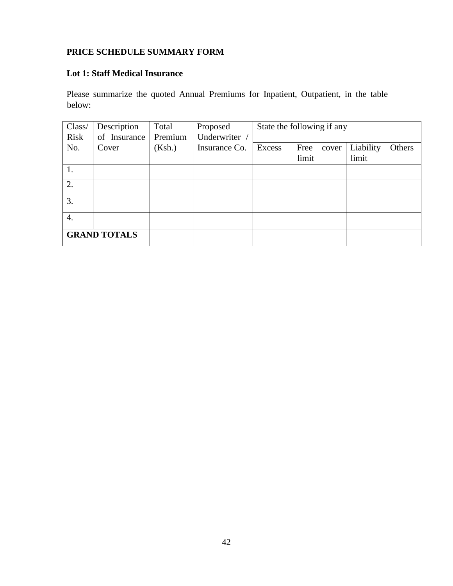# **PRICE SCHEDULE SUMMARY FORM**

# **Lot 1: Staff Medical Insurance**

Please summarize the quoted Annual Premiums for Inpatient, Outpatient, in the table below:

| Class/           | Description<br>of Insurance | Total<br>Premium | Proposed<br>Underwriter / |        | State the following if any |           |        |
|------------------|-----------------------------|------------------|---------------------------|--------|----------------------------|-----------|--------|
| <b>Risk</b>      |                             |                  |                           |        |                            |           |        |
| No.              | Cover                       | (Ksh.)           | Insurance Co.             | Excess | Free<br>cover              | Liability | Others |
|                  |                             |                  |                           |        | limit                      | limit     |        |
| 1.               |                             |                  |                           |        |                            |           |        |
| $\overline{2}$ . |                             |                  |                           |        |                            |           |        |
| $\overline{3}$ . |                             |                  |                           |        |                            |           |        |
| $\overline{4}$ . |                             |                  |                           |        |                            |           |        |
|                  | <b>GRAND TOTALS</b>         |                  |                           |        |                            |           |        |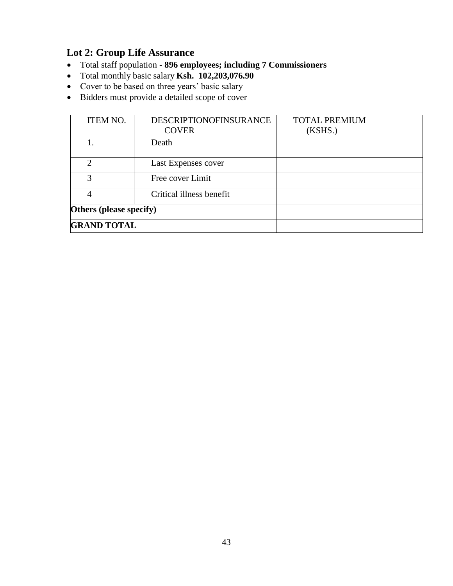# **Lot 2: Group Life Assurance**

- Total staff population **896 employees; including 7 Commissioners**
- Total monthly basic salary **Ksh. 102,203,076.90**
- Cover to be based on three years' basic salary
- Bidders must provide a detailed scope of cover

| <b>ITEM NO.</b>             | DESCRIPTIONOFINSURANCE<br><b>COVER</b> | <b>TOTAL PREMIUM</b><br>(KSHS.) |
|-----------------------------|----------------------------------------|---------------------------------|
|                             | Death                                  |                                 |
| $\mathcal{D}_{\mathcal{L}}$ | Last Expenses cover                    |                                 |
| 3                           | Free cover Limit                       |                                 |
|                             | Critical illness benefit               |                                 |
| Others (please specify)     |                                        |                                 |
| <b>GRAND TOTAL</b>          |                                        |                                 |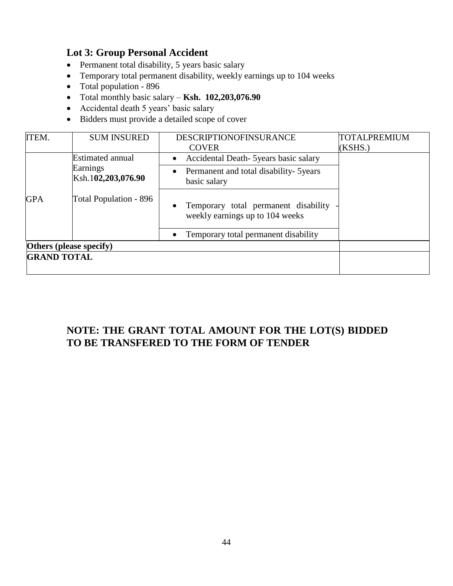# **Lot 3: Group Personal Accident**

- Permanent total disability, 5 years basic salary
- Temporary total permanent disability, weekly earnings up to 104 weeks
- Total population 896
- Total monthly basic salary **Ksh. 102,203,076.90**
- Accidental death 5 years' basic salary
- Bidders must provide a detailed scope of cover

| ITEM.      | <b>SUM INSURED</b>             | DESCRIPTIONOFINSURANCE<br><b>COVER</b>                                                 | TOTALPREMIUM<br>(KSHS.) |
|------------|--------------------------------|----------------------------------------------------------------------------------------|-------------------------|
|            | <b>Estimated annual</b>        | Accidental Death- 5 years basic salary<br>$\bullet$                                    |                         |
|            | Earnings<br>Ksh.102,203,076.90 | Permanent and total disability- 5 years<br>$\bullet$<br>basic salary                   |                         |
| <b>GPA</b> | Total Population - 896         | Temporary total permanent disability -<br>$\bullet$<br>weekly earnings up to 104 weeks |                         |
|            |                                | Temporary total permanent disability                                                   |                         |
|            | Others (please specify)        |                                                                                        |                         |
|            | <b>GRAND TOTAL</b>             |                                                                                        |                         |

# **NOTE: THE GRANT TOTAL AMOUNT FOR THE LOT(S) BIDDED TO BE TRANSFERED TO THE FORM OF TENDER**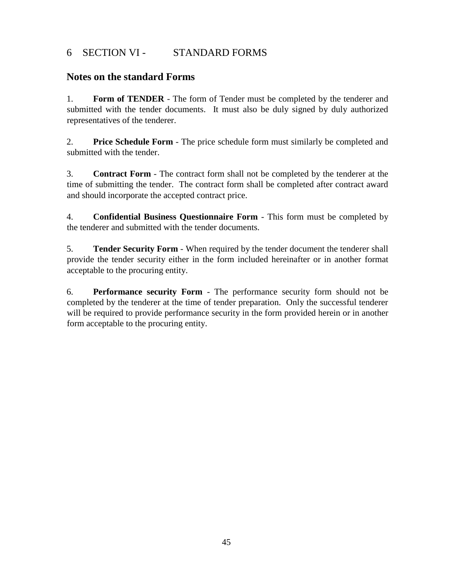# <span id="page-44-0"></span>6 SECTION VI - STANDARD FORMS

# **Notes on the standard Forms**

1. **Form of TENDER** - The form of Tender must be completed by the tenderer and submitted with the tender documents. It must also be duly signed by duly authorized representatives of the tenderer.

2. **Price Schedule Form** - The price schedule form must similarly be completed and submitted with the tender.

3. **Contract Form** - The contract form shall not be completed by the tenderer at the time of submitting the tender. The contract form shall be completed after contract award and should incorporate the accepted contract price.

4. **Confidential Business Questionnaire Form** - This form must be completed by the tenderer and submitted with the tender documents.

5. **Tender Security Form** - When required by the tender document the tenderer shall provide the tender security either in the form included hereinafter or in another format acceptable to the procuring entity.

6. **Performance security Form** - The performance security form should not be completed by the tenderer at the time of tender preparation. Only the successful tenderer will be required to provide performance security in the form provided herein or in another form acceptable to the procuring entity.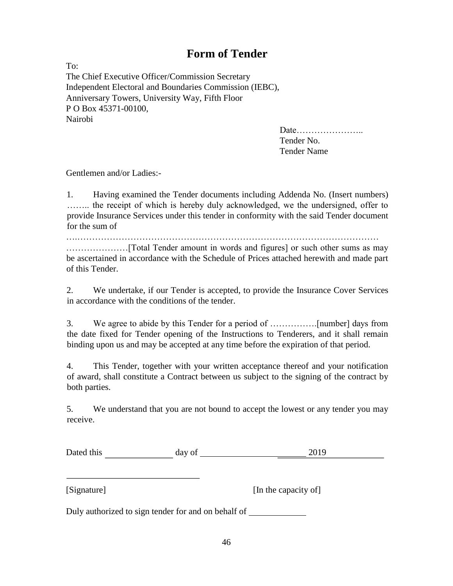# **Form of Tender**

To:

The Chief Executive Officer/Commission Secretary Independent Electoral and Boundaries Commission (IEBC), Anniversary Towers, University Way, Fifth Floor P O Box 45371-00100, Nairobi

> Date………………….. Tender No. Tender Name

Gentlemen and/or Ladies:-

1. Having examined the Tender documents including Addenda No. (Insert numbers) …….. the receipt of which is hereby duly acknowledged, we the undersigned, offer to provide Insurance Services under this tender in conformity with the said Tender document for the sum of

….…………………………………………………………………………………………

…………………[Total Tender amount in words and figures] or such other sums as may be ascertained in accordance with the Schedule of Prices attached herewith and made part of this Tender.

2. We undertake, if our Tender is accepted, to provide the Insurance Cover Services in accordance with the conditions of the tender.

3. We agree to abide by this Tender for a period of …………….[number] days from the date fixed for Tender opening of the Instructions to Tenderers, and it shall remain binding upon us and may be accepted at any time before the expiration of that period.

4. This Tender, together with your written acceptance thereof and your notification of award, shall constitute a Contract between us subject to the signing of the contract by both parties.

5. We understand that you are not bound to accept the lowest or any tender you may receive.

| Dated this  | day of                                              | 2019                 |
|-------------|-----------------------------------------------------|----------------------|
|             |                                                     |                      |
| [Signature] |                                                     | [In the capacity of] |
|             | Duly authorized to sign tender for and on behalf of |                      |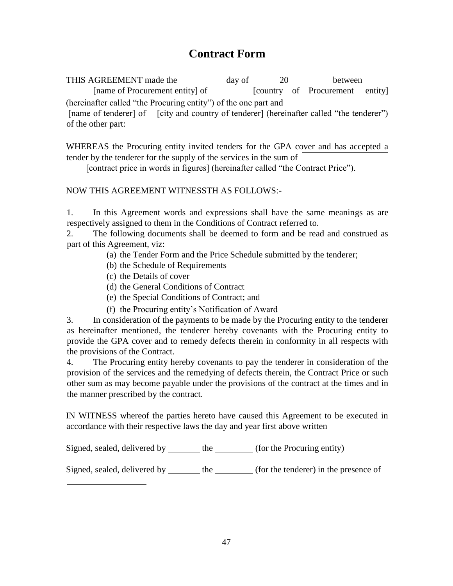# **Contract Form**

THIS AGREEMENT made the day of 20 between [name of Procurement entity] of [country of Procurement entity] (hereinafter called "the Procuring entity") of the one part and [name of tenderer] of [city and country of tenderer] (hereinafter called "the tenderer") of the other part:

WHEREAS the Procuring entity invited tenders for the GPA cover and has accepted a tender by the tenderer for the supply of the services in the sum of

[contract price in words in figures] (hereinafter called "the Contract Price").

# NOW THIS AGREEMENT WITNESSTH AS FOLLOWS:-

1. In this Agreement words and expressions shall have the same meanings as are respectively assigned to them in the Conditions of Contract referred to.

2. The following documents shall be deemed to form and be read and construed as part of this Agreement, viz:

(a) the Tender Form and the Price Schedule submitted by the tenderer;

- (b) the Schedule of Requirements
- (c) the Details of cover
- (d) the General Conditions of Contract
- (e) the Special Conditions of Contract; and
- (f) the Procuring entity's Notification of Award

3. In consideration of the payments to be made by the Procuring entity to the tenderer as hereinafter mentioned, the tenderer hereby covenants with the Procuring entity to provide the GPA cover and to remedy defects therein in conformity in all respects with the provisions of the Contract.

4. The Procuring entity hereby covenants to pay the tenderer in consideration of the provision of the services and the remedying of defects therein, the Contract Price or such other sum as may become payable under the provisions of the contract at the times and in the manner prescribed by the contract.

IN WITNESS whereof the parties hereto have caused this Agreement to be executed in accordance with their respective laws the day and year first above written

Signed, sealed, delivered by the (for the Procuring entity)

Signed, sealed, delivered by \_\_\_\_\_\_\_ the \_\_\_\_\_\_\_ (for the tenderer) in the presence of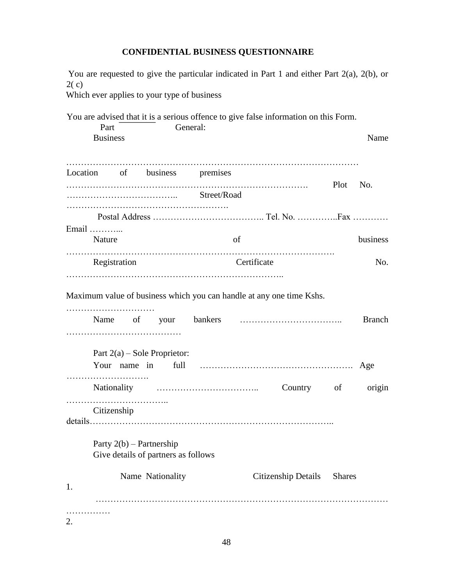# **CONFIDENTIAL BUSINESS QUESTIONNAIRE**

You are requested to give the particular indicated in Part 1 and either Part 2(a), 2(b), or 2( c)

Which ever applies to your type of business

|                                                                   | You are advised that it is a serious offence to give false information on this Form. |               |               |
|-------------------------------------------------------------------|--------------------------------------------------------------------------------------|---------------|---------------|
| Part                                                              | General:                                                                             |               |               |
| <b>Business</b>                                                   |                                                                                      |               | Name          |
|                                                                   |                                                                                      |               |               |
| Location of business premises                                     |                                                                                      |               |               |
| Street/Road                                                       |                                                                                      |               |               |
|                                                                   |                                                                                      |               |               |
| Email                                                             |                                                                                      |               |               |
| Nature                                                            | of                                                                                   |               | business      |
| Registration                                                      | Certificate                                                                          |               | No.           |
|                                                                   |                                                                                      |               |               |
|                                                                   | Maximum value of business which you can handle at any one time Kshs.                 |               |               |
|                                                                   |                                                                                      |               | <b>Branch</b> |
|                                                                   |                                                                                      |               |               |
|                                                                   |                                                                                      |               |               |
| Part $2(a)$ – Sole Proprietor:                                    |                                                                                      |               |               |
|                                                                   | Country of                                                                           |               | origin        |
|                                                                   |                                                                                      |               |               |
| Citizenship                                                       |                                                                                      |               |               |
|                                                                   |                                                                                      |               |               |
| Party $2(b)$ – Partnership<br>Give details of partners as follows |                                                                                      |               |               |
| Name Nationality                                                  | Citizenship Details                                                                  | <b>Shares</b> |               |
| 1.                                                                |                                                                                      |               |               |
|                                                                   |                                                                                      |               |               |
| 2.                                                                |                                                                                      |               |               |
|                                                                   |                                                                                      |               |               |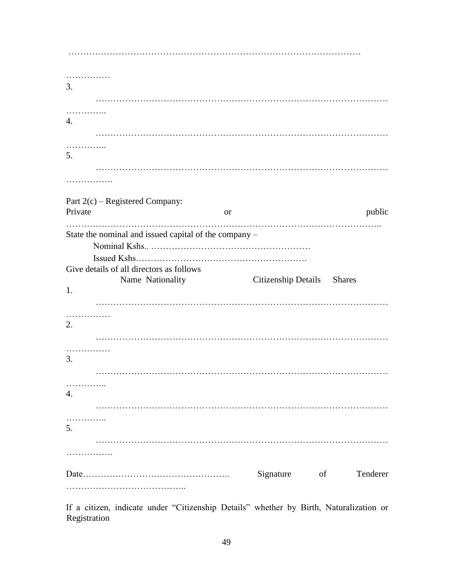| . <b>.</b>                                   |                                                                           |                            |          |
|----------------------------------------------|---------------------------------------------------------------------------|----------------------------|----------|
| 3.                                           |                                                                           |                            |          |
|                                              |                                                                           |                            |          |
| .                                            |                                                                           |                            |          |
| 4.                                           |                                                                           |                            |          |
|                                              |                                                                           |                            |          |
| .                                            |                                                                           |                            |          |
| 5.                                           |                                                                           |                            |          |
|                                              |                                                                           |                            |          |
| .                                            |                                                                           |                            |          |
|                                              |                                                                           |                            |          |
| Part $2(c)$ – Registered Company:<br>Private |                                                                           |                            | public   |
| .                                            |                                                                           | or                         |          |
| Give details of all directors as follows     | State the nominal and issued capital of the company -<br>Name Nationality | Citizenship Details Shares |          |
| 1.                                           |                                                                           |                            |          |
|                                              |                                                                           |                            |          |
| .<br>2.                                      |                                                                           |                            |          |
|                                              |                                                                           |                            |          |
| .                                            |                                                                           |                            |          |
| 3.                                           |                                                                           |                            |          |
|                                              |                                                                           |                            |          |
|                                              |                                                                           |                            |          |
|                                              |                                                                           |                            |          |
| 4.                                           |                                                                           |                            |          |
|                                              |                                                                           |                            |          |
|                                              |                                                                           |                            |          |
| 5.                                           |                                                                           |                            |          |
|                                              |                                                                           |                            |          |
|                                              |                                                                           | Signature of               | Tenderer |

If a citizen, indicate under "Citizenship Details" whether by Birth, Naturalization or Registration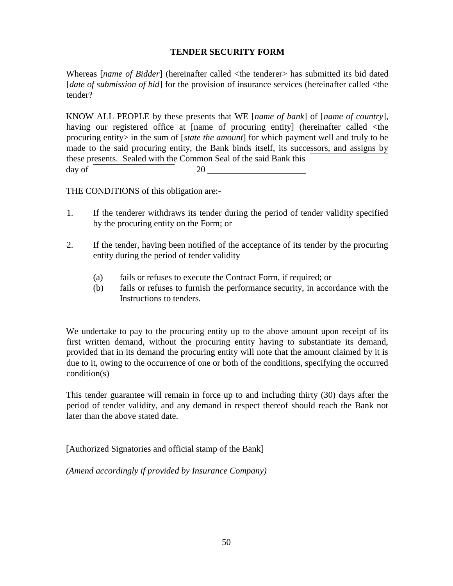# **TENDER SECURITY FORM**

Whereas [*name of Bidder*] (hereinafter called <the tenderer> has submitted its bid dated [*date of submission of bid*] for the provision of insurance services (hereinafter called <the tender?

KNOW ALL PEOPLE by these presents that WE [*name of bank*] of [*name of country*], having our registered office at [name of procuring entity] (hereinafter called  $\lt$ the procuring entity> in the sum of [*state the amount*] for which payment well and truly to be made to the said procuring entity, the Bank binds itself, its successors, and assigns by these presents. Sealed with the Common Seal of the said Bank this day of 20

THE CONDITIONS of this obligation are:-

- 1. If the tenderer withdraws its tender during the period of tender validity specified by the procuring entity on the Form; or
- 2. If the tender, having been notified of the acceptance of its tender by the procuring entity during the period of tender validity
	- (a) fails or refuses to execute the Contract Form, if required; or
	- (b) fails or refuses to furnish the performance security, in accordance with the Instructions to tenders.

We undertake to pay to the procuring entity up to the above amount upon receipt of its first written demand, without the procuring entity having to substantiate its demand, provided that in its demand the procuring entity will note that the amount claimed by it is due to it, owing to the occurrence of one or both of the conditions, specifying the occurred condition(s)

This tender guarantee will remain in force up to and including thirty (30) days after the period of tender validity, and any demand in respect thereof should reach the Bank not later than the above stated date.

[Authorized Signatories and official stamp of the Bank]

*(Amend accordingly if provided by Insurance Company)*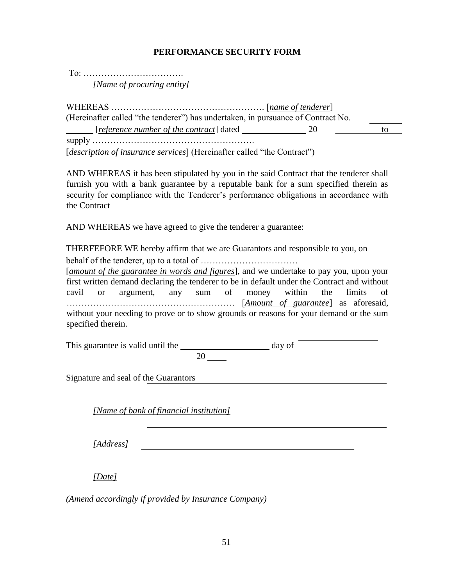#### **PERFORMANCE SECURITY FORM**

To: ……………………………. *[Name of procuring entity]* 

WHEREAS ……………………………………………. [*name of tenderer*] (Hereinafter called "the tenderer") has undertaken, in pursuance of Contract No. **Figure 1** The *contract*] dated 20 to to 120 to 20 to 20 to 20 to 20 to 20 to 20 to 20 to 20 to 20 to 20 to 20 to 20 to 20 to 20 to 20 to 20 to 20 to 20 to 20 to 20 to 20 to 20 to 20 to 20 to 20 to 20 to 20 to 20 to 20 to supply ………………………………………………. [*description of insurance services*] (Hereinafter called "the Contract")

AND WHEREAS it has been stipulated by you in the said Contract that the tenderer shall furnish you with a bank guarantee by a reputable bank for a sum specified therein as security for compliance with the Tenderer's performance obligations in accordance with the Contract

AND WHEREAS we have agreed to give the tenderer a guarantee:

THERFEFORE WE hereby affirm that we are Guarantors and responsible to you, on

behalf of the tenderer, up to a total of ……………………………

[*amount of the guarantee in words and figures*], and we undertake to pay you, upon your first written demand declaring the tenderer to be in default under the Contract and without cavil or argument, any sum of money within the limits of ………………………………………………… [*Amount of guarantee*] as aforesaid, without your needing to prove or to show grounds or reasons for your demand or the sum specified therein.

| This guarantee is valid until the | day of |
|-----------------------------------|--------|
|                                   |        |

Signature and seal of the Guarantors

*[Name of bank of financial institution]*

*[Address]*

*[Date]*

*(Amend accordingly if provided by Insurance Company)*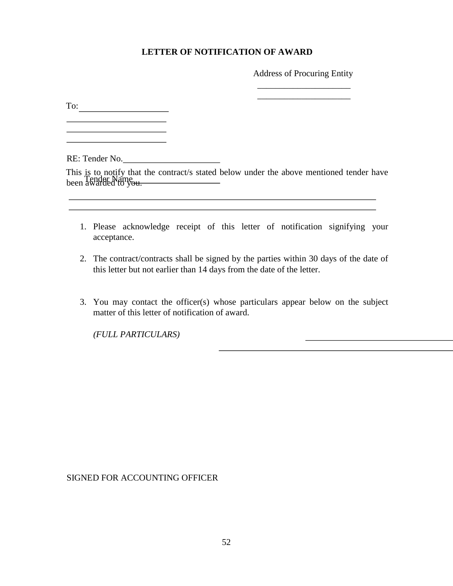# **LETTER OF NOTIFICATION OF AWARD**

Address of Procuring Entity \_\_\_\_\_\_\_\_\_\_\_\_\_\_\_\_\_\_\_\_\_

\_\_\_\_\_\_\_\_\_\_\_\_\_\_\_\_\_\_\_\_\_

To:

<u> 1990 - Johann Barbara, martin a</u> 

RE: Tender No.

This is to notify that the contract/s stated below under the above mentioned tender have been Tender Name

1. Please acknowledge receipt of this letter of notification signifying your acceptance.

- 2. The contract/contracts shall be signed by the parties within 30 days of the date of this letter but not earlier than 14 days from the date of the letter.
- 3. You may contact the officer(s) whose particulars appear below on the subject matter of this letter of notification of award.

*(FULL PARTICULARS)* 

SIGNED FOR ACCOUNTING OFFICER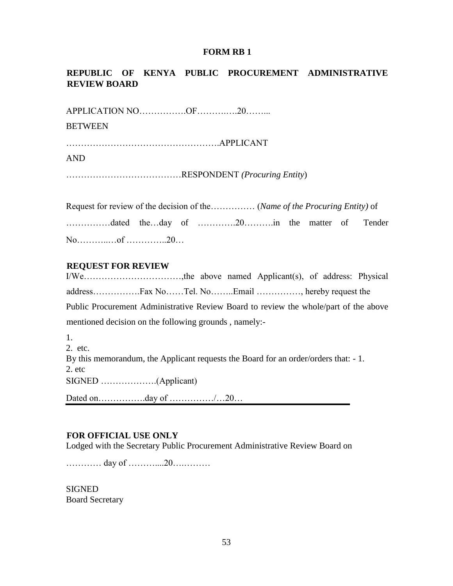#### **FORM RB 1**

# **REPUBLIC OF KENYA PUBLIC PROCUREMENT ADMINISTRATIVE REVIEW BOARD**

APPLICATION NO…………….OF……….….20……...

#### BETWEEN

…………………………………………….APPLICANT

AND

…………………………………RESPONDENT *(Procuring Entity*)

| Request for review of the decision of the (Name of the Procuring Entity) of |  |  |  |                                           |  |  |  |  |
|-----------------------------------------------------------------------------|--|--|--|-------------------------------------------|--|--|--|--|
|                                                                             |  |  |  | dated theday of 20in the matter of Tender |  |  |  |  |
| Noof 20                                                                     |  |  |  |                                           |  |  |  |  |

#### **REQUEST FOR REVIEW**

I/We……………………………,the above named Applicant(s), of address: Physical address…………….Fax No……Tel. No……..Email ……………, hereby request the Public Procurement Administrative Review Board to review the whole/part of the above mentioned decision on the following grounds , namely:-

1. 2. etc. By this memorandum, the Applicant requests the Board for an order/orders that: - 1. 2. etc SIGNED ……………….(Applicant)

Dated on…………….day of ……………/…20…

#### **FOR OFFICIAL USE ONLY**

Lodged with the Secretary Public Procurement Administrative Review Board on

………… day of ………....20….………

**SIGNED** Board Secretary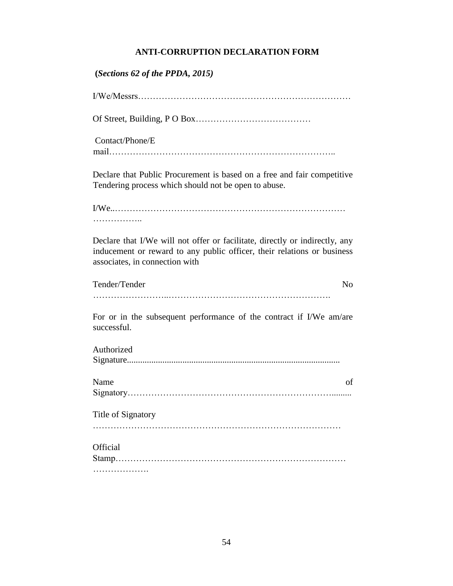#### **ANTI-CORRUPTION DECLARATION FORM**

I/We/Messrs………………………………………………………………

Of Street, Building, P O Box…………………………………

Contact/Phone/E mail…………………………………………………………………..

Declare that Public Procurement is based on a free and fair competitive Tendering process which should not be open to abuse.

I/We..…………………………………………………………………… ………………

Declare that I/We will not offer or facilitate, directly or indirectly, any inducement or reward to any public officer, their relations or business associates, in connection with

| Tender/Tender |  |
|---------------|--|
|               |  |

For or in the subsequent performance of the contract if I/We am/are successful.

| Authorized                                                                                                                                                                                                                                                                                                                                             |            |
|--------------------------------------------------------------------------------------------------------------------------------------------------------------------------------------------------------------------------------------------------------------------------------------------------------------------------------------------------------|------------|
|                                                                                                                                                                                                                                                                                                                                                        |            |
| Name                                                                                                                                                                                                                                                                                                                                                   | $\alpha$ f |
|                                                                                                                                                                                                                                                                                                                                                        |            |
| Title of Signatory                                                                                                                                                                                                                                                                                                                                     |            |
|                                                                                                                                                                                                                                                                                                                                                        |            |
| Official                                                                                                                                                                                                                                                                                                                                               |            |
| $Stamp \tbinom{1}{1} \tbinom{1}{2} \tbinom{1}{3} \tbinom{1}{4} \tbinom{1}{5} \tbinom{1}{6} \tbinom{1}{1} \tbinom{1}{1} \tbinom{1}{2} \tbinom{1}{3} \tbinom{1}{4} \tbinom{1}{5} \tbinom{1}{6} \tbinom{1}{7} \tbinom{1}{8} \tbinom{1}{9} \tbinom{1}{10} \tbinom{1}{10} \tbinom{1}{10} \tbinom{1}{10} \tbinom{1}{10} \tbinom{1}{10} \tbinom{1}{10} \tbin$ |            |
|                                                                                                                                                                                                                                                                                                                                                        |            |